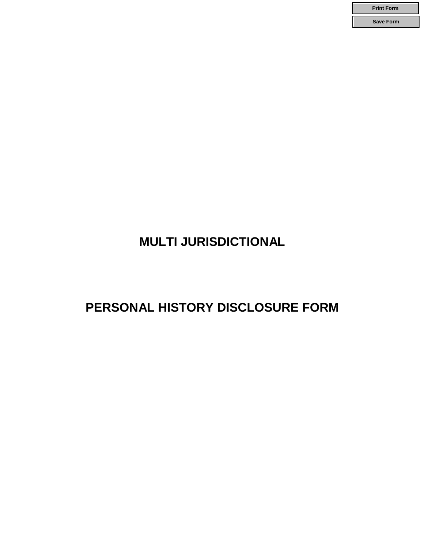**Print Form Save Form**

# **MULTI JURISDICTIONAL**

# **PERSONAL HISTORY DISCLOSURE FORM**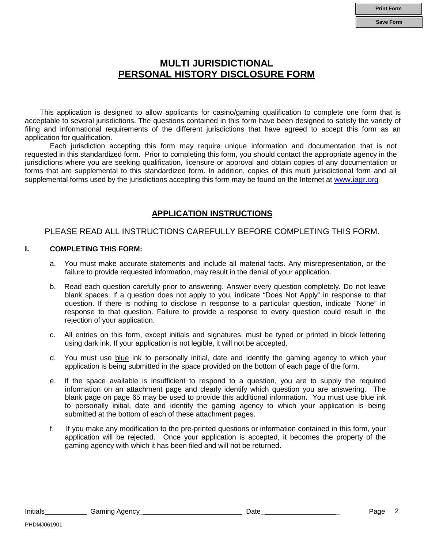### **MULTI JURISDICTIONAL PERSONAL HISTORY DISCLOSURE FORM**

This application is designed to allow applicants for casino/gaming qualification to complete one form that is acceptable to several jurisdictions. The questions contained in this form have been designed to satisfy the variety of filing and informational requirements of the different jurisdictions that have agreed to accept this form as an application for qualification.

Each jurisdiction accepting this form may require unique information and documentation that is not requested in this standardized form. Prior to completing this form, you should contact the appropriate agency in the jurisdictions where you are seeking qualification, licensure or approval and obtain copies of any documentation or forms that are supplemental to this standardized form. In addition, copies of this multi jurisdictional form and all supplemental forms used by the jurisdictions accepting this form may be found on the Internet at [www.iagr.org](http://www.iagr.org/)

### **APPLICATION INSTRUCTIONS**

### PLEASE READ ALL INSTRUCTIONS CAREFULLY BEFORE COMPLETING THIS FORM.

### **I. COMPLETING THIS FORM:**

- a. You must make accurate statements and include all material facts. Any misrepresentation, or the failure to provide requested information, may result in the denial of your application.
- b. Read each question carefully prior to answering. Answer every question completely. Do not leave blank spaces. If a question does not apply to you, indicate "Does Not Apply" in response to that question. If there is nothing to disclose in response to a particular question, indicate "None" in response to that question. Failure to provide a response to every question could result in the rejection of your application.
- c. All entries on this form, except initials and signatures, must be typed or printed in block lettering using dark ink. If your application is not legible, it will not be accepted.
- d. You must use blue ink to personally initial, date and identify the gaming agency to which your application is being submitted in the space provided on the bottom of each page of the form.
- e. If the space available is insufficient to respond to a question, you are to supply the required information on an attachment page and clearly identify which question you are answering. The blank page on page 65 may be used to provide this additional information. You must use blue ink to personally initial, date and identify the gaming agency to which your application is being submitted at the bottom of each of these attachment pages.
- f. If you make any modification to the pre-printed questions or information contained in this form, your application will be rejected. Once your application is accepted, it becomes the property of the gaming agency with which it has been filed and will not be returned.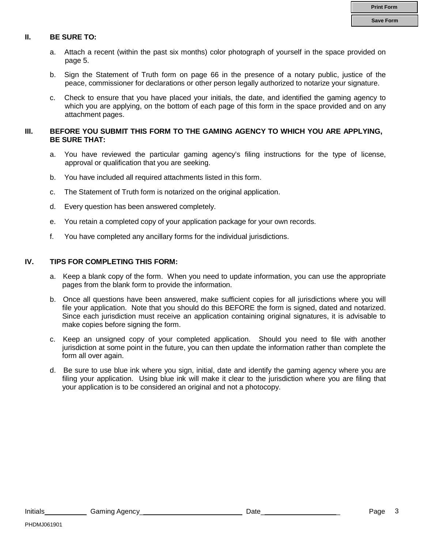### **II. BE SURE TO:**

- a. Attach a recent (within the past six months) color photograph of yourself in the space provided on page 5.
- b. Sign the Statement of Truth form on page 66 in the presence of a notary public, justice of the peace, commissioner for declarations or other person legally authorized to notarize your signature.
- c. Check to ensure that you have placed your initials, the date, and identified the gaming agency to which you are applying, on the bottom of each page of this form in the space provided and on any attachment pages.

### **III. BEFORE YOU SUBMIT THIS FORM TO THE GAMING AGENCY TO WHICH YOU ARE APPLYING, BE SURE THAT:**

- a. You have reviewed the particular gaming agency's filing instructions for the type of license, approval or qualification that you are seeking.
- b. You have included all required attachments listed in this form.
- c. The Statement of Truth form is notarized on the original application.
- d. Every question has been answered completely.
- e. You retain a completed copy of your application package for your own records.
- f. You have completed any ancillary forms for the individual jurisdictions.

### **IV. TIPS FOR COMPLETING THIS FORM:**

- a. Keep a blank copy of the form. When you need to update information, you can use the appropriate pages from the blank form to provide the information.
- b. Once all questions have been answered, make sufficient copies for all jurisdictions where you will file your application. Note that you should do this BEFORE the form is signed, dated and notarized. Since each jurisdiction must receive an application containing original signatures, it is advisable to make copies before signing the form.
- c. Keep an unsigned copy of your completed application. Should you need to file with another jurisdiction at some point in the future, you can then update the information rather than complete the form all over again.
- d. Be sure to use blue ink where you sign, initial, date and identify the gaming agency where you are filing your application. Using blue ink will make it clear to the jurisdiction where you are filing that your application is to be considered an original and not a photocopy.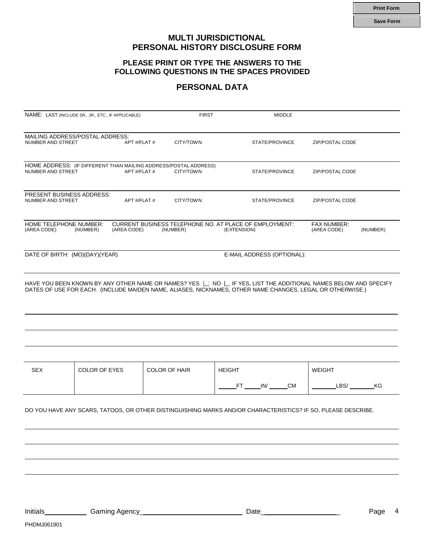**Print Form**

**Save Form**

### **MULTI JURISDICTIONAL PERSONAL HISTORY DISCLOSURE FORM**

### **PLEASE PRINT OR TYPE THE ANSWERS TO THE FOLLOWING QUESTIONS IN THE SPACES PROVIDED**

### **PERSONAL DATA**

|                                                       | NAME: LAST (INCLUDE SR., JR., ETC., IF APPLICABLE)                               | <b>FIRST</b>         | <b>MIDDLE</b>                                                                                                                                                                                                               |                            |          |
|-------------------------------------------------------|----------------------------------------------------------------------------------|----------------------|-----------------------------------------------------------------------------------------------------------------------------------------------------------------------------------------------------------------------------|----------------------------|----------|
| NUMBER AND STREET                                     | MAILING ADDRESS/POSTAL ADDRESS:<br>APT #/FLAT #                                  | CITY/TOWN            | STATE/PROVINCE                                                                                                                                                                                                              | ZIP/POSTAL CODE            |          |
| NUMBER AND STREET                                     | HOME ADDRESS: (IF DIFFERENT THAN MAILING ADDRESS/POSTAL ADDRESS)<br>APT #/FLAT # | CITY/TOWN            | STATE/PROVINCE                                                                                                                                                                                                              | ZIP/POSTAL CODE            |          |
| <b>PRESENT BUSINESS ADDRESS:</b><br>NUMBER AND STREET | APT #/FLAT #                                                                     | CITY/TOWN            | STATE/PROVINCE                                                                                                                                                                                                              | ZIP/POSTAL CODE            |          |
| HOME TELEPHONE NUMBER:<br>(AREA CODE)                 | (NUMBER)<br>(AREA CODE)                                                          | (NUMBER)             | CURRENT BUSINESS TELEPHONE NO. AT PLACE OF EMPLOYMENT:<br>(EXTENSION)                                                                                                                                                       | FAX NUMBER:<br>(AREA CODE) | (NUMBER) |
| DATE OF BIRTH: (MO)(DAY)(YEAR)                        |                                                                                  |                      | E-MAIL ADDRESS (OPTIONAL):                                                                                                                                                                                                  |                            |          |
|                                                       |                                                                                  |                      | HAVE YOU BEEN KNOWN BY ANY OTHER NAME OR NAMES? YES □ NO □ IF YES, LIST THE ADDITIONAL NAMES BELOW AND SPECIFY<br>DATES OF USE FOR EACH. (INCLUDE MAIDEN NAME, ALIASES, NICKNAMES, OTHER NAME CHANGES, LEGAL OR OTHERWISE.) |                            |          |
|                                                       |                                                                                  |                      |                                                                                                                                                                                                                             |                            |          |
| <b>SEX</b>                                            | <b>COLOR OF EYES</b>                                                             | <b>COLOR OF HAIR</b> | <b>HEIGHT</b>                                                                                                                                                                                                               | <b>WEIGHT</b>              |          |
|                                                       |                                                                                  |                      | FT _____ IN/ ______ CM                                                                                                                                                                                                      |                            | LBS/ KG  |
|                                                       |                                                                                  |                      | DO YOU HAVE ANY SCARS, TATOOS, OR OTHER DISTINGUISHING MARKS AND/OR CHARACTERISTICS? IF SO, PLEASE DESCRIBE.                                                                                                                |                            |          |

Initials Gaming Agency\_ Date\_ \_ Page 4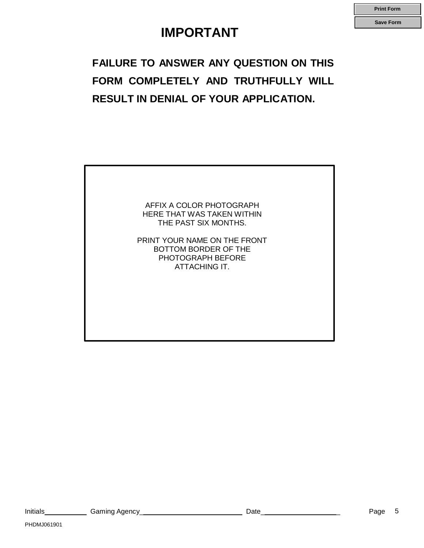# **IMPORTANT**

**Print Form**

**Save Form**

# **FAILURE TO ANSWER ANY QUESTION ON THIS FORM COMPLETELY AND TRUTHFULLY WILL RESULT IN DENIAL OF YOUR APPLICATION.**

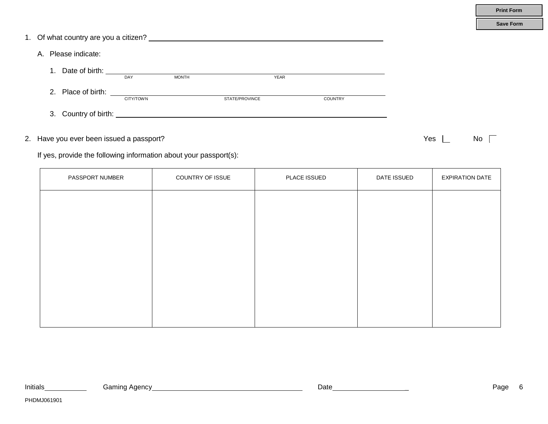|    | $-0.0000$ $-0.0000$                                                                                                                                                                                                                                                                                                                                                                                      |           |                                                                   |                |                |             |     |                        |
|----|----------------------------------------------------------------------------------------------------------------------------------------------------------------------------------------------------------------------------------------------------------------------------------------------------------------------------------------------------------------------------------------------------------|-----------|-------------------------------------------------------------------|----------------|----------------|-------------|-----|------------------------|
| 1. | Date of birth: $\frac{1}{1-\frac{1}{1-\frac{1}{1-\frac{1}{1-\frac{1}{1-\frac{1}{1-\frac{1}{1-\frac{1}{1-\frac{1}{1-\frac{1}{1-\frac{1}{1-\frac{1}{1-\frac{1}{1-\frac{1}{1-\frac{1}{1-\frac{1}{1-\frac{1}{1-\frac{1}{1-\frac{1}{1-\frac{1}{1-\frac{1}{1-\frac{1}{1-\frac{1}{1-\frac{1}{1-\frac{1}{1-\frac{1}{1-\frac{1}{1-\frac{1}{1-\frac{1}{1-\frac{1}{1-\frac{1}{1-\frac{1}{1-\frac{1}{1-\frac{1}{1-\$ |           |                                                                   | <b>YEAR</b>    |                |             |     |                        |
|    |                                                                                                                                                                                                                                                                                                                                                                                                          | CITY/TOWN |                                                                   | STATE/PROVINCE | <b>COUNTRY</b> |             |     |                        |
|    |                                                                                                                                                                                                                                                                                                                                                                                                          |           |                                                                   |                |                |             |     |                        |
|    | 2. Have you ever been issued a passport?                                                                                                                                                                                                                                                                                                                                                                 |           | If yes, provide the following information about your passport(s): |                |                |             | Yes | $No \ \Gamma$          |
|    | PASSPORT NUMBER                                                                                                                                                                                                                                                                                                                                                                                          |           | COUNTRY OF ISSUE                                                  |                | PLACE ISSUED   | DATE ISSUED |     | <b>EXPIRATION DATE</b> |
|    |                                                                                                                                                                                                                                                                                                                                                                                                          |           |                                                                   |                |                |             |     |                        |
|    |                                                                                                                                                                                                                                                                                                                                                                                                          |           |                                                                   |                |                |             |     |                        |
|    |                                                                                                                                                                                                                                                                                                                                                                                                          |           |                                                                   |                |                |             |     |                        |

1. Of what country are you a citizen?

A. Please indicate: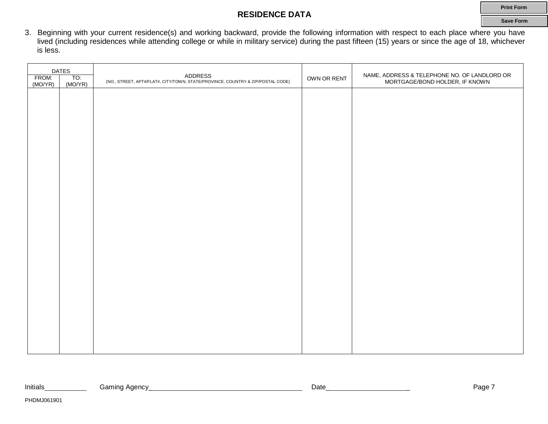### **RESIDENCE DATA**

3. Beginning with your current residence(s) and working backward, provide the following information with respect to each place where you have lived (including residences while attending college or while in military service) during the past fifteen (15) years or since the age of 18, whichever is less.

| <b>DATES</b><br>FROM:<br>TO:<br>(MO/YR)<br>(MO/YR) |  | <b>ADDRESS</b><br>(NO., STREET, APT#/FLAT#, CITY/TOWN, STATE/PROVINCE, COUNTRY & ZIP/POSTAL CODE) | OWN OR RENT | NAME, ADDRESS & TELEPHONE NO. OF LANDLORD OR<br>MORTGAGE/BOND HOLDER, IF KNOWN |
|----------------------------------------------------|--|---------------------------------------------------------------------------------------------------|-------------|--------------------------------------------------------------------------------|
|                                                    |  |                                                                                                   |             |                                                                                |
|                                                    |  |                                                                                                   |             |                                                                                |
|                                                    |  |                                                                                                   |             |                                                                                |
|                                                    |  |                                                                                                   |             |                                                                                |
|                                                    |  |                                                                                                   |             |                                                                                |
|                                                    |  |                                                                                                   |             |                                                                                |
|                                                    |  |                                                                                                   |             |                                                                                |
|                                                    |  |                                                                                                   |             |                                                                                |
|                                                    |  |                                                                                                   |             |                                                                                |
|                                                    |  |                                                                                                   |             |                                                                                |
|                                                    |  |                                                                                                   |             |                                                                                |
|                                                    |  |                                                                                                   |             |                                                                                |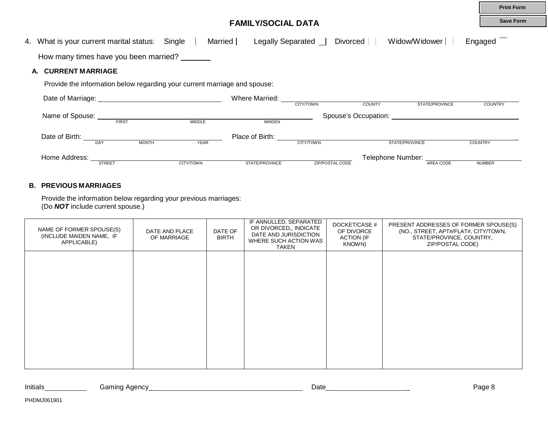|                                                                           |                  |                                    |                        |                                                                                                                                                                                                                                |                | <b>Print Form</b> |
|---------------------------------------------------------------------------|------------------|------------------------------------|------------------------|--------------------------------------------------------------------------------------------------------------------------------------------------------------------------------------------------------------------------------|----------------|-------------------|
|                                                                           |                  | <b>FAMILY/SOCIAL DATA</b>          |                        |                                                                                                                                                                                                                                |                | <b>Save Form</b>  |
| 4. What is your current marital status: Single                            | Married $\Box$   | Legally Separated $\Box$           | Divorced               | Widow/Widower                                                                                                                                                                                                                  | Engaged        |                   |
| How many times have you been married?                                     |                  |                                    |                        |                                                                                                                                                                                                                                |                |                   |
| <b>CURRENT MARRIAGE</b><br>А.                                             |                  |                                    |                        |                                                                                                                                                                                                                                |                |                   |
| Provide the information below regarding your current marriage and spouse: |                  |                                    |                        |                                                                                                                                                                                                                                |                |                   |
|                                                                           |                  | Where Married:<br><b>CITY/TOWN</b> | <b>COUNTY</b>          | STATE/PROVINCE                                                                                                                                                                                                                 |                | <b>COUNTRY</b>    |
| Name of Spouse:                                                           |                  |                                    |                        | Spouse's Occupation: example of the state of the state of the state of the state of the state of the state of the state of the state of the state of the state of the state of the state of the state of the state of the stat |                |                   |
| <b>FIRST</b>                                                              | <b>MIDDLE</b>    | <b>MAIDEN</b>                      |                        |                                                                                                                                                                                                                                |                |                   |
| Date of Birth:<br><b>MONTH</b><br><b>DAY</b>                              | <b>YEAR</b>      | Place of Birth:<br>CITY/TOWN       |                        | STATE/PROVINCE                                                                                                                                                                                                                 | <b>COUNTRY</b> |                   |
| Home Address:                                                             |                  |                                    |                        | Telephone Number:                                                                                                                                                                                                              |                |                   |
| <b>STREET</b>                                                             | <b>CITY/TOWN</b> | STATE/PROVINCE                     | <b>ZIP/POSTAL CODE</b> | AREA CODE                                                                                                                                                                                                                      | <b>NUMBER</b>  |                   |

### **B. PREVIOUS MARRIAGES**

Provide the information below regarding your previous marriages: (Do *NOT* include current spouse.)

| NAME OF FORMER SPOUSE(S)<br>(INCLUDE MAIDEN NAME, IF<br>APPLICABLE) | DATE AND PLACE<br>OF MARRIAGE | DATE OF<br><b>BIRTH</b> | IF ANNULLED, SEPARATED<br>OR DIVORCED,, INDICATE<br>DATE AND JURISDICTION<br>WHERE SUCH ACTION WAS<br><b>TAKEN</b> | DOCKET/CASE #<br>OF DIVORCE<br><b>ACTION (IF</b><br>KNOWN) | PRESENT ADDRESSES OF FORMER SPOUSE(S)<br>(NO., STREET, APT#/FLAT#, CITY/TOWN,<br>STATE/PROVINCE, COUNTRY,<br>ZIP/POSTAL CODE) |
|---------------------------------------------------------------------|-------------------------------|-------------------------|--------------------------------------------------------------------------------------------------------------------|------------------------------------------------------------|-------------------------------------------------------------------------------------------------------------------------------|
|                                                                     |                               |                         |                                                                                                                    |                                                            |                                                                                                                               |
|                                                                     |                               |                         |                                                                                                                    |                                                            |                                                                                                                               |
|                                                                     |                               |                         |                                                                                                                    |                                                            |                                                                                                                               |
|                                                                     |                               |                         |                                                                                                                    |                                                            |                                                                                                                               |
|                                                                     |                               |                         |                                                                                                                    |                                                            |                                                                                                                               |

| Initials | Gamınd<br>Adency<br>. . | Date | ∽age |
|----------|-------------------------|------|------|
|----------|-------------------------|------|------|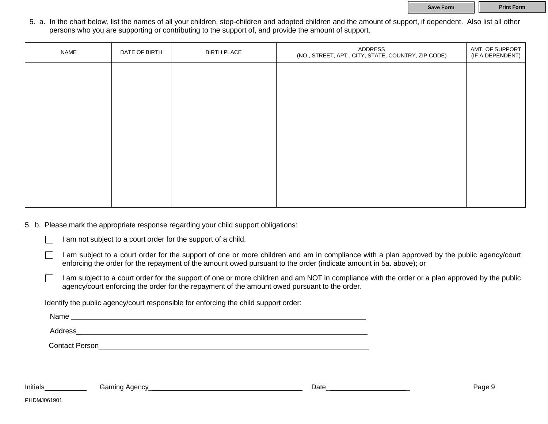**Save Form Print Form** 

5. a. In the chart below, list the names of all your children, step-children and adopted children and the amount of support, if dependent. Also list all other persons who you are supporting or contributing to the support of, and provide the amount of support.

| <b>NAME</b> | DATE OF BIRTH | <b>BIRTH PLACE</b> | ADDRESS<br>(NO., STREET, APT., CITY, STATE, COUNTRY, ZIP CODE) | AMT. OF SUPPORT<br>(IF A DEPENDENT) |
|-------------|---------------|--------------------|----------------------------------------------------------------|-------------------------------------|
|             |               |                    |                                                                |                                     |
|             |               |                    |                                                                |                                     |
|             |               |                    |                                                                |                                     |
|             |               |                    |                                                                |                                     |
|             |               |                    |                                                                |                                     |
|             |               |                    |                                                                |                                     |
|             |               |                    |                                                                |                                     |
|             |               |                    |                                                                |                                     |

5. b. Please mark the appropriate response regarding your child support obligations:

| I am not subject to a court order for the support of a child. |  |  |
|---------------------------------------------------------------|--|--|
|                                                               |  |  |

I am subject to a court order for the support of one or more children and am in compliance with a plan approved by the public agency/court enforcing the order for the repayment of the amount owed pursuant to the order (indicate amount in 5a. above); or

I am subject to a court order for the support of one or more children and am NOT in compliance with the order or a plan approved by the public agency/court enforcing the order for the repayment of the amount owed pursuant to the order.

Identify the public agency/court responsible for enforcing the child support order:

Name experience and the second contract of the second contract of the second contract of the second contract of the second contract of the second contract of the second contract of the second contract of the second contrac

Address and the contract of the contract of the contract of the contract of the contract of the contract of the contract of the contract of the contract of the contract of the contract of the contract of the contract of th

Contact Person

PHDMJ061901

Initials Gaming Agency\_ Date\_ \_ Page 9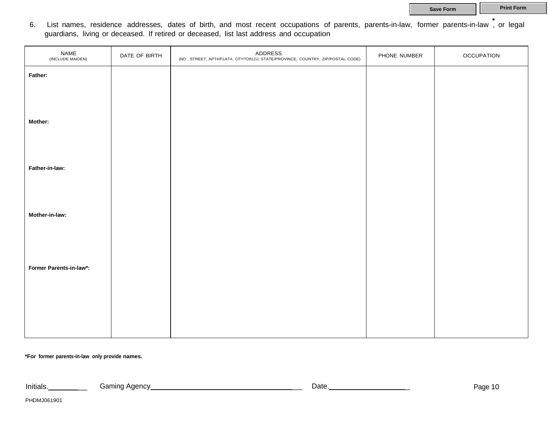**Save Form Print Form** 

• 6. List names, residence addresses, dates of birth, and most recent occupations of parents, parents-in-law, former parents-in-law , or legal guardians, living or deceased. If retired or deceased, list last address and occupation

| NAME<br>(INCLUDE MAIDEN) | DATE OF BIRTH | ADDRESS<br>(NO, STREET, APT#/FLAT#, CITY!TO\f\11\J, STATE/PROVINCE, COUNTRY, ZIP/POSTAL CODE) | PHONE NUMBER | <b>OCCUPATION</b> |
|--------------------------|---------------|-----------------------------------------------------------------------------------------------|--------------|-------------------|
| Father:                  |               |                                                                                               |              |                   |
|                          |               |                                                                                               |              |                   |
| Mother:                  |               |                                                                                               |              |                   |
|                          |               |                                                                                               |              |                   |
|                          |               |                                                                                               |              |                   |
| Father-in-law:           |               |                                                                                               |              |                   |
|                          |               |                                                                                               |              |                   |
| Mother-in-law:           |               |                                                                                               |              |                   |
|                          |               |                                                                                               |              |                   |
|                          |               |                                                                                               |              |                   |
| Former Parents-in-law*:  |               |                                                                                               |              |                   |
|                          |               |                                                                                               |              |                   |
|                          |               |                                                                                               |              |                   |
|                          |               |                                                                                               |              |                   |

**\*For former parents-in-law only provide names.**

Initials. \_ Gaming Agency \_ Date. \_ Page <sup>10</sup>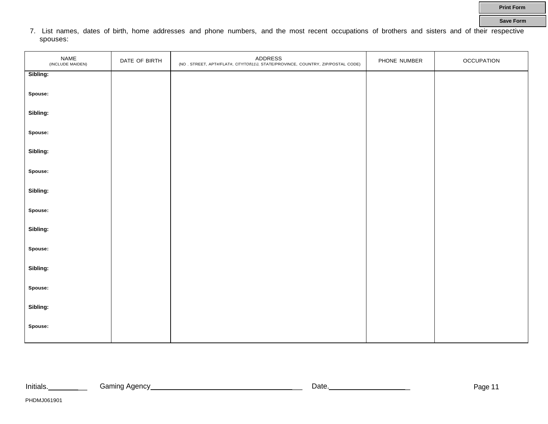7. List names, dates of birth, home addresses and phone numbers, and the most recent occupations of brothers and sisters and of their respective spouses:

| NAME<br>(INCLUDE MAIDEN) | DATE OF BIRTH | ADDRESS<br>(NO, STREET, APT#/FLAT#, CITY!TO\\11\J, STATE/PROVINCE, COUNTRY, ZIP/POSTAL CODE) | PHONE NUMBER | <b>OCCUPATION</b> |
|--------------------------|---------------|----------------------------------------------------------------------------------------------|--------------|-------------------|
| Sibling:                 |               |                                                                                              |              |                   |
| Spouse:                  |               |                                                                                              |              |                   |
| Sibling:                 |               |                                                                                              |              |                   |
| Spouse:                  |               |                                                                                              |              |                   |
| Sibling:                 |               |                                                                                              |              |                   |
| Spouse:                  |               |                                                                                              |              |                   |
| Sibling:                 |               |                                                                                              |              |                   |
| Spouse:                  |               |                                                                                              |              |                   |
| Sibling:                 |               |                                                                                              |              |                   |
| Spouse:                  |               |                                                                                              |              |                   |
| Sibling:                 |               |                                                                                              |              |                   |
| Spouse:                  |               |                                                                                              |              |                   |
| Sibling:                 |               |                                                                                              |              |                   |
| Spouse:                  |               |                                                                                              |              |                   |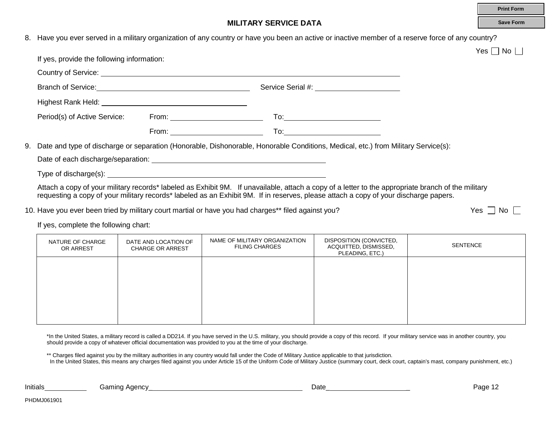|                                            |                                                                                                     |                                                                                                                                                                                                                                                                                            | <b>Print Form</b>  |
|--------------------------------------------|-----------------------------------------------------------------------------------------------------|--------------------------------------------------------------------------------------------------------------------------------------------------------------------------------------------------------------------------------------------------------------------------------------------|--------------------|
|                                            |                                                                                                     | <b>MILITARY SERVICE DATA</b>                                                                                                                                                                                                                                                               | <b>Save Form</b>   |
|                                            |                                                                                                     | 8. Have you ever served in a military organization of any country or have you been an active or inactive member of a reserve force of any country?                                                                                                                                         |                    |
|                                            |                                                                                                     |                                                                                                                                                                                                                                                                                            | $Yes \Box No \Box$ |
| If yes, provide the following information: |                                                                                                     |                                                                                                                                                                                                                                                                                            |                    |
|                                            |                                                                                                     |                                                                                                                                                                                                                                                                                            |                    |
|                                            |                                                                                                     |                                                                                                                                                                                                                                                                                            |                    |
|                                            |                                                                                                     |                                                                                                                                                                                                                                                                                            |                    |
|                                            |                                                                                                     |                                                                                                                                                                                                                                                                                            |                    |
|                                            | From: $\overline{\phantom{a}}$                                                                      |                                                                                                                                                                                                                                                                                            |                    |
|                                            |                                                                                                     | 9. Date and type of discharge or separation (Honorable, Dishonorable, Honorable Conditions, Medical, etc.) from Military Service(s):                                                                                                                                                       |                    |
|                                            |                                                                                                     |                                                                                                                                                                                                                                                                                            |                    |
|                                            |                                                                                                     |                                                                                                                                                                                                                                                                                            |                    |
|                                            |                                                                                                     | Attach a copy of your military records* labeled as Exhibit 9M. If unavailable, attach a copy of a letter to the appropriate branch of the military<br>requesting a copy of your military records* labeled as an Exhibit 9M. If in reserves, please attach a copy of your discharge papers. |                    |
|                                            | 10. Have you ever been tried by military court martial or have you had charges** filed against you? |                                                                                                                                                                                                                                                                                            | $Yes \mid No \mid$ |
| If yes, complete the following chart:      |                                                                                                     |                                                                                                                                                                                                                                                                                            |                    |
|                                            |                                                                                                     |                                                                                                                                                                                                                                                                                            |                    |

| NATURE OF CHARGE<br>OR ARREST | DATE AND LOCATION OF<br><b>CHARGE OR ARREST</b> | NAME OF MILITARY ORGANIZATION<br><b>FILING CHARGES</b> | DISPOSITION (CONVICTED,<br>ACQUITTED, DISMISSED,<br>PLEADING, ETC.) | SENTENCE |
|-------------------------------|-------------------------------------------------|--------------------------------------------------------|---------------------------------------------------------------------|----------|
|                               |                                                 |                                                        |                                                                     |          |
|                               |                                                 |                                                        |                                                                     |          |
|                               |                                                 |                                                        |                                                                     |          |
|                               |                                                 |                                                        |                                                                     |          |

\*In the United States, a military record is called a DD214. If you have served in the U.S. military, you should provide a copy of this record. If your military service was in another country, you should provide a copy of whatever official documentation was provided to you at the time of your discharge.

\*\* Charges filed against you by the military authorities in any country would fall under the Code of Military Justice applicable to that jurisdiction.

In the United States, this means any charges filed against you under Article 15 of the Uniform Code of Military Justice (summary court, deck court, captain's mast, company punishment, etc.)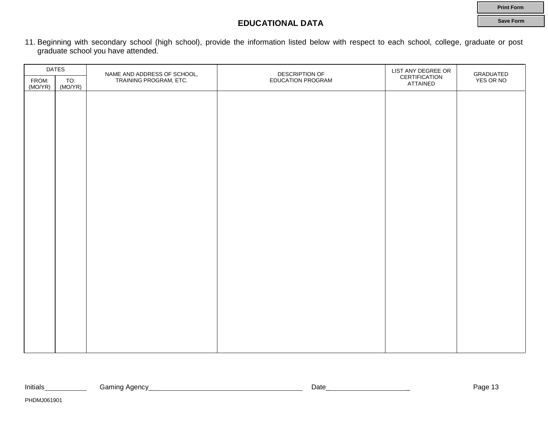**Print Form Save Form**

### **EDUCATIONAL DATA**

11. Beginning with secondary school (high school), provide the information listed below with respect to each school, college, graduate or post graduate school you have attended.

| <b>DATES</b>     |                |                                                       | DESCRIPTION OF           | LIST ANY DEGREE OR        |                        |
|------------------|----------------|-------------------------------------------------------|--------------------------|---------------------------|------------------------|
| FROM:<br>(MO/YR) | TO:<br>(MO/YR) | NAME AND ADDRESS OF SCHOOL,<br>TRAINING PROGRAM, ETC. | <b>EDUCATION PROGRAM</b> | CERTIFICATION<br>ATTAINED | GRADUATED<br>YES OR NO |
|                  |                |                                                       |                          |                           |                        |
|                  |                |                                                       |                          |                           |                        |
|                  |                |                                                       |                          |                           |                        |
|                  |                |                                                       |                          |                           |                        |
|                  |                |                                                       |                          |                           |                        |
|                  |                |                                                       |                          |                           |                        |
|                  |                |                                                       |                          |                           |                        |
|                  |                |                                                       |                          |                           |                        |
|                  |                |                                                       |                          |                           |                        |
|                  |                |                                                       |                          |                           |                        |
|                  |                |                                                       |                          |                           |                        |
|                  |                |                                                       |                          |                           |                        |
|                  |                |                                                       |                          |                           |                        |
|                  |                |                                                       |                          |                           |                        |
|                  |                |                                                       |                          |                           |                        |
|                  |                |                                                       |                          |                           |                        |
|                  |                |                                                       |                          |                           |                        |
|                  |                |                                                       |                          |                           |                        |
|                  |                |                                                       |                          |                           |                        |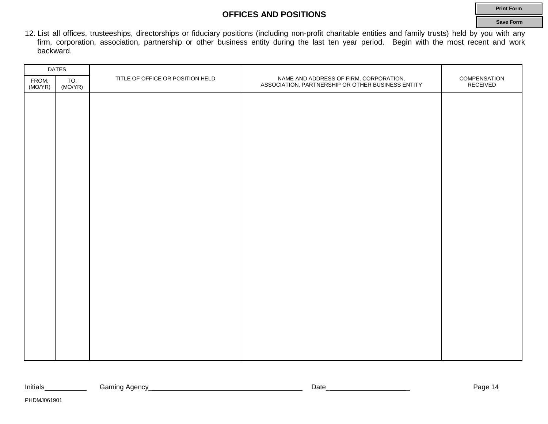### **OFFICES AND POSITIONS**

12. List all offices, trusteeships, directorships or fiduciary positions (including non-profit charitable entities and family trusts) held by you with any firm, corporation, association, partnership or other business entity during the last ten year period. Begin with the most recent and work backward.

| <b>DATES</b>     |                |                                  |                                                                                             |                          |
|------------------|----------------|----------------------------------|---------------------------------------------------------------------------------------------|--------------------------|
| FROM:<br>(MO/YR) | TO:<br>(MO/YR) | TITLE OF OFFICE OR POSITION HELD | NAME AND ADDRESS OF FIRM, CORPORATION,<br>ASSOCIATION, PARTNERSHIP OR OTHER BUSINESS ENTITY | COMPENSATION<br>RECEIVED |
|                  |                |                                  |                                                                                             |                          |
|                  |                |                                  |                                                                                             |                          |
|                  |                |                                  |                                                                                             |                          |
|                  |                |                                  |                                                                                             |                          |
|                  |                |                                  |                                                                                             |                          |
|                  |                |                                  |                                                                                             |                          |
|                  |                |                                  |                                                                                             |                          |
|                  |                |                                  |                                                                                             |                          |
|                  |                |                                  |                                                                                             |                          |
|                  |                |                                  |                                                                                             |                          |
|                  |                |                                  |                                                                                             |                          |
|                  |                |                                  |                                                                                             |                          |
|                  |                |                                  |                                                                                             |                          |
|                  |                |                                  |                                                                                             |                          |
|                  |                |                                  |                                                                                             |                          |
|                  |                |                                  |                                                                                             |                          |
|                  |                |                                  |                                                                                             |                          |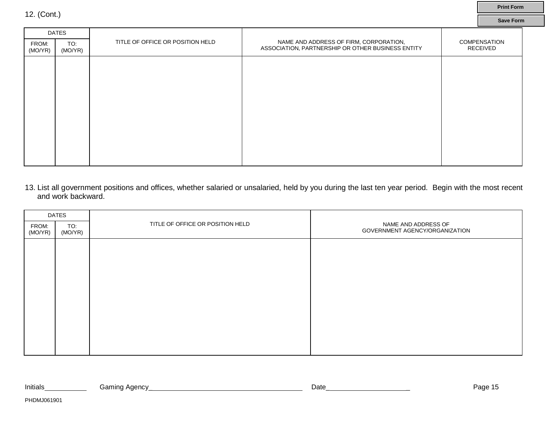|                  | <b>DATES</b>   |                                  |                                                                                             |                                 |
|------------------|----------------|----------------------------------|---------------------------------------------------------------------------------------------|---------------------------------|
| FROM:<br>(MO/YR) | TO:<br>(MO/YR) | TITLE OF OFFICE OR POSITION HELD | NAME AND ADDRESS OF FIRM, CORPORATION,<br>ASSOCIATION, PARTNERSHIP OR OTHER BUSINESS ENTITY | COMPENSATION<br><b>RECEIVED</b> |
|                  |                |                                  |                                                                                             |                                 |
|                  |                |                                  |                                                                                             |                                 |
|                  |                |                                  |                                                                                             |                                 |
|                  |                |                                  |                                                                                             |                                 |
|                  |                |                                  |                                                                                             |                                 |
|                  |                |                                  |                                                                                             |                                 |
|                  |                |                                  |                                                                                             |                                 |
|                  |                |                                  |                                                                                             |                                 |
|                  |                |                                  |                                                                                             |                                 |

**Print Form Save Form**

13. List all government positions and offices, whether salaried or unsalaried, held by you during the last ten year period. Begin with the most recent and work backward.

| <b>DATES</b>     |                |                                  |                                                       |
|------------------|----------------|----------------------------------|-------------------------------------------------------|
| FROM:<br>(MO/YR) | TO:<br>(MO/YR) | TITLE OF OFFICE OR POSITION HELD | NAME AND ADDRESS OF<br>GOVERNMENT AGENCY/ORGANIZATION |
|                  |                |                                  |                                                       |
|                  |                |                                  |                                                       |
|                  |                |                                  |                                                       |
|                  |                |                                  |                                                       |
|                  |                |                                  |                                                       |
|                  |                |                                  |                                                       |
|                  |                |                                  |                                                       |
|                  |                |                                  |                                                       |

12. (Cont.)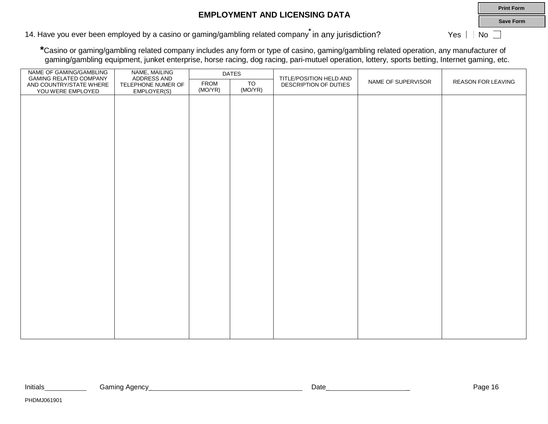### **EMPLOYMENT AND LICENSING DATA**

**Save Form**

**Print Form**

14. Have you ever been employed by a casino or gaming/gambling related company<sup>\*</sup> in any jurisdiction? Yes a Mo

**\***Casino or gaming/gambling related company includes any form or type of casino, gaming/gambling related operation, any manufacturer of gaming/gambling equipment, junket enterprise, horse racing, dog racing, pari-mutuel operation, lottery, sports betting, Internet gaming, etc.

| NAME OF GAMING/GAMBLING<br><b>GAMING RELATED COMPANY</b> | NAME, MAILING<br>ADDRESS AND      |                        | <b>DATES</b>  | TITLE/POSITION HELD AND |                    |                    |
|----------------------------------------------------------|-----------------------------------|------------------------|---------------|-------------------------|--------------------|--------------------|
| AND COUNTRY/STATE WHERE<br>YOU WERE EMPLOYED             | TELEPHONE NUMER OF<br>EMPLOYER(S) | <b>FROM</b><br>(MO/YR) | TO<br>(MO/YR) | DESCRIPTION OF DUTIES   | NAME OF SUPERVISOR | REASON FOR LEAVING |
|                                                          |                                   |                        |               |                         |                    |                    |
|                                                          |                                   |                        |               |                         |                    |                    |
|                                                          |                                   |                        |               |                         |                    |                    |
|                                                          |                                   |                        |               |                         |                    |                    |
|                                                          |                                   |                        |               |                         |                    |                    |
|                                                          |                                   |                        |               |                         |                    |                    |
|                                                          |                                   |                        |               |                         |                    |                    |
|                                                          |                                   |                        |               |                         |                    |                    |
|                                                          |                                   |                        |               |                         |                    |                    |
|                                                          |                                   |                        |               |                         |                    |                    |
|                                                          |                                   |                        |               |                         |                    |                    |
|                                                          |                                   |                        |               |                         |                    |                    |
|                                                          |                                   |                        |               |                         |                    |                    |
|                                                          |                                   |                        |               |                         |                    |                    |
|                                                          |                                   |                        |               |                         |                    |                    |
|                                                          |                                   |                        |               |                         |                    |                    |
|                                                          |                                   |                        |               |                         |                    |                    |
|                                                          |                                   |                        |               |                         |                    |                    |
|                                                          |                                   |                        |               |                         |                    |                    |
|                                                          |                                   |                        |               |                         |                    |                    |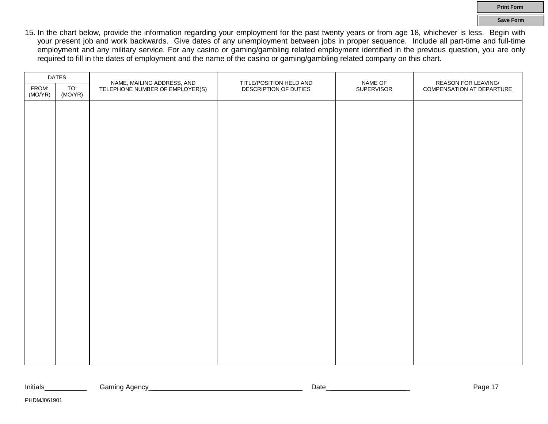15. In the chart below, provide the information regarding your employment for the past twenty years or from age 18, whichever is less. Begin with your present job and work backwards. Give dates of any unemployment between jobs in proper sequence. Include all part-time and full-time employment and any military service. For any casino or gaming/gambling related employment identified in the previous question, you are only required to fill in the dates of employment and the name of the casino or gaming/gambling related company on this chart.

|                  | <b>DATES</b>   | NAME, MAILING ADDRESS, AND      | TITLE/POSITION HELD AND | NAME OF    | <b>REASON FOR LEAVING/</b> |
|------------------|----------------|---------------------------------|-------------------------|------------|----------------------------|
| FROM:<br>(MO/YR) | TO:<br>(MO/YR) | TELEPHONE NUMBER OF EMPLOYER(S) | DESCRIPTION OF DUTIES   | SUPERVISOR | COMPENSATION AT DEPARTURE  |
|                  |                |                                 |                         |            |                            |
|                  |                |                                 |                         |            |                            |
|                  |                |                                 |                         |            |                            |
|                  |                |                                 |                         |            |                            |
|                  |                |                                 |                         |            |                            |
|                  |                |                                 |                         |            |                            |
|                  |                |                                 |                         |            |                            |
|                  |                |                                 |                         |            |                            |
|                  |                |                                 |                         |            |                            |
|                  |                |                                 |                         |            |                            |
|                  |                |                                 |                         |            |                            |
|                  |                |                                 |                         |            |                            |
|                  |                |                                 |                         |            |                            |
|                  |                |                                 |                         |            |                            |
|                  |                |                                 |                         |            |                            |
|                  |                |                                 |                         |            |                            |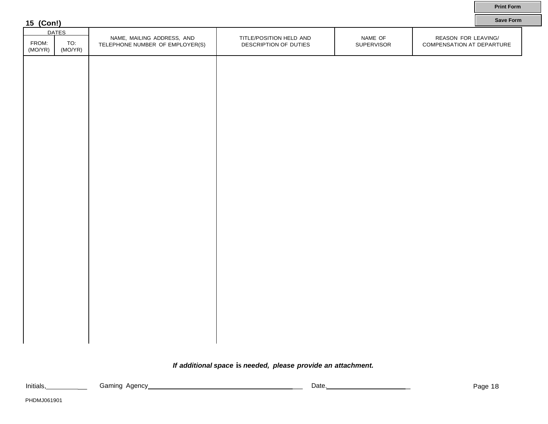| 15 (Con!)        |                |                                                               |                                                  |                       | <b>Save Form</b>                                 |
|------------------|----------------|---------------------------------------------------------------|--------------------------------------------------|-----------------------|--------------------------------------------------|
|                  | <b>DATES</b>   |                                                               |                                                  |                       |                                                  |
| FROM:<br>(MO/YR) | TO:<br>(MO/YR) | NAME, MAILING ADDRESS, AND<br>TELEPHONE NUMBER OF EMPLOYER(S) | TITLE/POSITION HELD AND<br>DESCRIPTION OF DUTIES | NAME OF<br>SUPERVISOR | REASON FOR LEAVING/<br>COMPENSATION AT DEPARTURE |
|                  |                |                                                               |                                                  |                       |                                                  |
|                  |                |                                                               |                                                  |                       |                                                  |
|                  |                |                                                               |                                                  |                       |                                                  |
|                  |                |                                                               |                                                  |                       |                                                  |
|                  |                |                                                               |                                                  |                       |                                                  |
|                  |                |                                                               |                                                  |                       |                                                  |
|                  |                |                                                               |                                                  |                       |                                                  |
|                  |                |                                                               |                                                  |                       |                                                  |
|                  |                |                                                               |                                                  |                       |                                                  |
|                  |                |                                                               |                                                  |                       |                                                  |
|                  |                |                                                               |                                                  |                       |                                                  |
|                  |                |                                                               |                                                  |                       |                                                  |
|                  |                |                                                               |                                                  |                       |                                                  |
|                  |                |                                                               |                                                  |                       |                                                  |
|                  |                |                                                               |                                                  |                       |                                                  |

### *If additional space* **is** *needed, please provide an attachment.*

**Print Form**

 $\Box$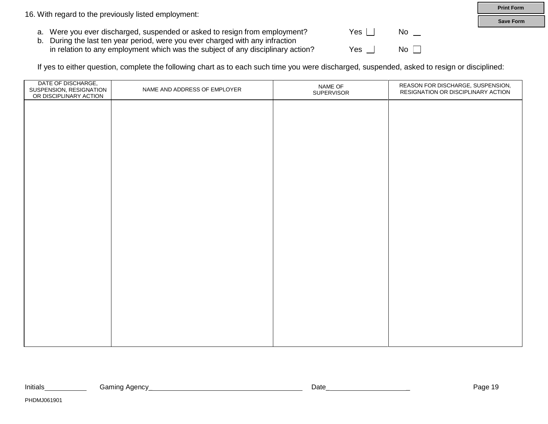16. With regard to the previously listed employment:

- a. Were you ever discharged, suspended or asked to resign from employment?  $\Box$  Yes  $\Box$  No  $\Box$
- b. During the last ten year period, were you ever charged with any infraction in relation to any employment which was the subject of any disciplinary action? Yes  $\Box$  No  $\Box$

If yes to either question, complete the following chart as to each such time you were discharged, suspended, asked to resign or disciplined:

| DATE OF DISCHARGE,<br>SUSPENSION, RESIGNATION<br>OR DISCIPLINARY ACTION | NAME AND ADDRESS OF EMPLOYER | NAME OF<br>SUPERVISOR | REASON FOR DISCHARGE, SUSPENSION,<br>RESIGNATION OR DISCIPLINARY ACTION |
|-------------------------------------------------------------------------|------------------------------|-----------------------|-------------------------------------------------------------------------|
|                                                                         |                              |                       |                                                                         |
|                                                                         |                              |                       |                                                                         |
|                                                                         |                              |                       |                                                                         |
|                                                                         |                              |                       |                                                                         |
|                                                                         |                              |                       |                                                                         |
|                                                                         |                              |                       |                                                                         |
|                                                                         |                              |                       |                                                                         |
|                                                                         |                              |                       |                                                                         |
|                                                                         |                              |                       |                                                                         |
|                                                                         |                              |                       |                                                                         |
|                                                                         |                              |                       |                                                                         |
|                                                                         |                              |                       |                                                                         |
|                                                                         |                              |                       |                                                                         |

| Initials | Gaming Agency | Date | $\overline{1}$<br>aut |
|----------|---------------|------|-----------------------|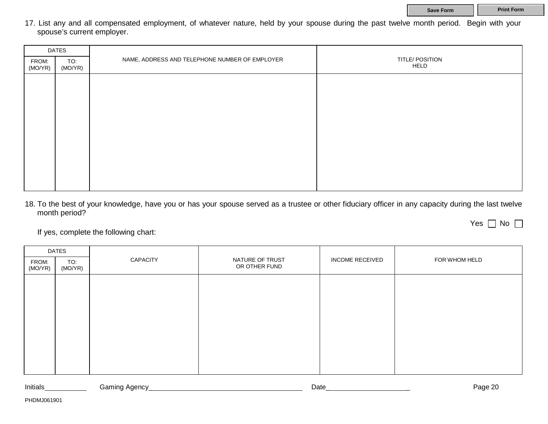Yes  $\Box$  No  $\Box$ 

17. List any and all compensated employment, of whatever nature, held by your spouse during the past twelve month period. Begin with your spouse's current employer.

| <b>DATES</b>     |                |                                                |                         |  |  |
|------------------|----------------|------------------------------------------------|-------------------------|--|--|
| FROM:<br>(MO/YR) | TO:<br>(MO/YR) | NAME, ADDRESS AND TELEPHONE NUMBER OF EMPLOYER | TITLE/ POSITION<br>HELD |  |  |
|                  |                |                                                |                         |  |  |
|                  |                |                                                |                         |  |  |
|                  |                |                                                |                         |  |  |
|                  |                |                                                |                         |  |  |
|                  |                |                                                |                         |  |  |
|                  |                |                                                |                         |  |  |
|                  |                |                                                |                         |  |  |
|                  |                |                                                |                         |  |  |

18. To the best of your knowledge, have you or has your spouse served as a trustee or other fiduciary officer in any capacity during the last twelve month period?

If yes, complete the following chart:

| <b>DATES</b>     |                |          |                                  |                        |               |
|------------------|----------------|----------|----------------------------------|------------------------|---------------|
| FROM:<br>(MO/YR) | TO:<br>(MO/YR) | CAPACITY | NATURE OF TRUST<br>OR OTHER FUND | <b>INCOME RECEIVED</b> | FOR WHOM HELD |
|                  |                |          |                                  |                        |               |
|                  |                |          |                                  |                        |               |
|                  |                |          |                                  |                        |               |
|                  |                |          |                                  |                        |               |
|                  |                |          |                                  |                        |               |
|                  |                |          |                                  |                        |               |
|                  |                |          |                                  |                        |               |

Initials Gaming Agency\_ Date\_ \_ Page 20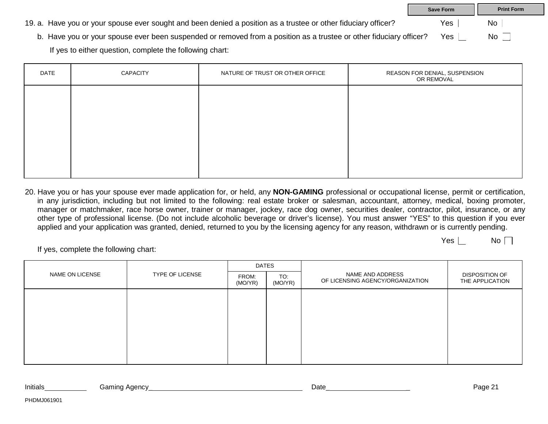|                                                                                                                    | <b>Save Form</b> | <b>Print Form</b> |  |
|--------------------------------------------------------------------------------------------------------------------|------------------|-------------------|--|
| 19. a. Have you or your spouse ever sought and been denied a position as a trustee or other fiduciary officer?     | Yes              | No                |  |
| b. Have you or your spouse ever been suspended or removed from a position as a trustee or other fiduciary officer? | Yes.             | No                |  |
| If yes to either question, complete the following chart:                                                           |                  |                   |  |

| DATE | CAPACITY | NATURE OF TRUST OR OTHER OFFICE | REASON FOR DENIAL, SUSPENSION<br>OR REMOVAL |
|------|----------|---------------------------------|---------------------------------------------|
|      |          |                                 |                                             |
|      |          |                                 |                                             |
|      |          |                                 |                                             |
|      |          |                                 |                                             |
|      |          |                                 |                                             |

20. Have you or has your spouse ever made application for, or held, any **NON-GAMING** professional or occupational license, permit or certification, in any jurisdiction, including but not limited to the following: real estate broker or salesman, accountant, attorney, medical, boxing promoter, manager or matchmaker, race horse owner, trainer or manager, jockey, race dog owner, securities dealer, contractor, pilot, insurance, or any other type of professional license. (Do not include alcoholic beverage or driver's license). You must answer "YES" to this question if you ever applied and your application was granted, denied, returned to you by the licensing agency for any reason, withdrawn or is currently pending.

 $Yes | No \rceil$ 

If yes, complete the following chart:

|                 |                        | <b>DATES</b>     |                |                                                      |                                          |
|-----------------|------------------------|------------------|----------------|------------------------------------------------------|------------------------------------------|
| NAME ON LICENSE | <b>TYPE OF LICENSE</b> | FROM:<br>(MO/YR) | TO:<br>(MO/YR) | NAME AND ADDRESS<br>OF LICENSING AGENCY/ORGANIZATION | <b>DISPOSITION OF</b><br>THE APPLICATION |
|                 |                        |                  |                |                                                      |                                          |
|                 |                        |                  |                |                                                      |                                          |
|                 |                        |                  |                |                                                      |                                          |
|                 |                        |                  |                |                                                      |                                          |
|                 |                        |                  |                |                                                      |                                          |
|                 |                        |                  |                |                                                      |                                          |

| Initials | amıncد<br>. Adency | - Jate | Page ∠ |
|----------|--------------------|--------|--------|
|          | . .                |        | . .    |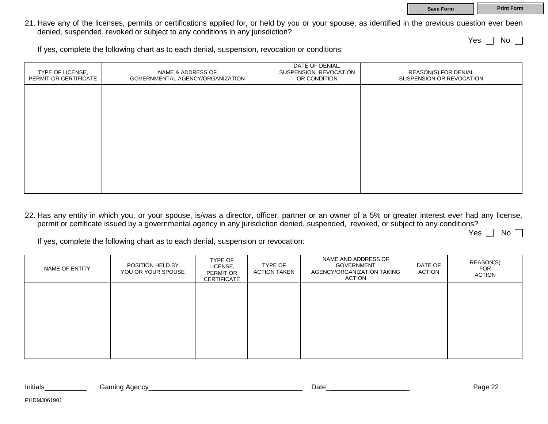21. Have any of the licenses, permits or certifications applied for, or held by you or your spouse, as identified in the previous question ever been denied, suspended, revoked or subject to any conditions in any jurisdiction?

Yes  $\top$  No  $\top$ 

If yes, complete the following chart as to each denial, suspension, revocation or conditions:

| TYPE OF LICENSE,<br>PERMIT OR CERTIFICATE | NAME & ADDRESS OF<br>GOVERNMENTAL AGENCY/ORGANIZATION | DATE OF DENIAL,<br>SUSPENSION. REVOCATION<br>OR CONDITION | REASON(S) FOR DENIAL<br>SUSPENSION OR REVOCATION |
|-------------------------------------------|-------------------------------------------------------|-----------------------------------------------------------|--------------------------------------------------|
|                                           |                                                       |                                                           |                                                  |
|                                           |                                                       |                                                           |                                                  |
|                                           |                                                       |                                                           |                                                  |
|                                           |                                                       |                                                           |                                                  |
|                                           |                                                       |                                                           |                                                  |

22. Has any entity in which you, or your spouse, is/was a director, officer, partner or an owner of a 5% or greater interest ever had any license, permit or certificate issued by a governmental agency in any jurisdiction denied, suspended, revoked, or subject to any conditions?

Yes  $\Box$  No  $\Box$ 

If yes, complete the following chart as to each denial, suspension or revocation:

| NAME OF ENTITY | POSITION HELD BY<br>YOU OR YOUR SPOUSE | TYPE OF<br>LICENSE,<br><b>PERMIT OR</b><br>CERTIFICATE | TYPE OF<br><b>ACTION TAKEN</b> | NAME AND ADDRESS OF<br>GOVERNMENT<br>AGENCY/ORGANIZATION TAKING<br>ACTION | DATE OF<br>ACTION | REASON(S)<br>FOR<br>ACTION |
|----------------|----------------------------------------|--------------------------------------------------------|--------------------------------|---------------------------------------------------------------------------|-------------------|----------------------------|
|                |                                        |                                                        |                                |                                                                           |                   |                            |
|                |                                        |                                                        |                                |                                                                           |                   |                            |
|                |                                        |                                                        |                                |                                                                           |                   |                            |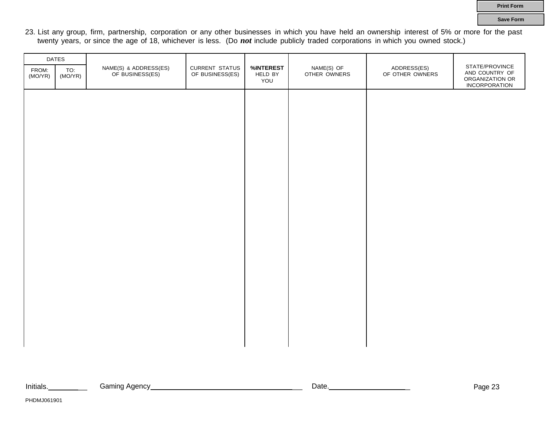23. List any group, firm, partnership, corporation or any other businesses in which you have held an ownership interest of 5% or more for the past twenty years, or since the age of 18, whichever is less. (Do *not* include publicly traded corporations in which you owned stock.)

|                  | DATES          |                                          |                                          |                             |                            |                                |                                                                             |
|------------------|----------------|------------------------------------------|------------------------------------------|-----------------------------|----------------------------|--------------------------------|-----------------------------------------------------------------------------|
| FROM:<br>(MO/YR) | TO:<br>(MO/YR) | NAME(S) & ADDRESS(ES)<br>OF BUSINESS(ES) | <b>CURRENT STATUS</b><br>OF BUSINESS(ES) | %INTEREST<br>HELD BY<br>YOU | NAME(S) OF<br>OTHER OWNERS | ADDRESS(ES)<br>OF OTHER OWNERS | STATE/PROVINCE<br>AND COUNTRY OF<br>ORGANIZATION OR<br><b>INCORPORATION</b> |
|                  |                |                                          |                                          |                             |                            |                                |                                                                             |
|                  |                |                                          |                                          |                             |                            |                                |                                                                             |
|                  |                |                                          |                                          |                             |                            |                                |                                                                             |
|                  |                |                                          |                                          |                             |                            |                                |                                                                             |
|                  |                |                                          |                                          |                             |                            |                                |                                                                             |
|                  |                |                                          |                                          |                             |                            |                                |                                                                             |
|                  |                |                                          |                                          |                             |                            |                                |                                                                             |
|                  |                |                                          |                                          |                             |                            |                                |                                                                             |
|                  |                |                                          |                                          |                             |                            |                                |                                                                             |
|                  |                |                                          |                                          |                             |                            |                                |                                                                             |
|                  |                |                                          |                                          |                             |                            |                                |                                                                             |
|                  |                |                                          |                                          |                             |                            |                                |                                                                             |
|                  |                |                                          |                                          |                             |                            |                                |                                                                             |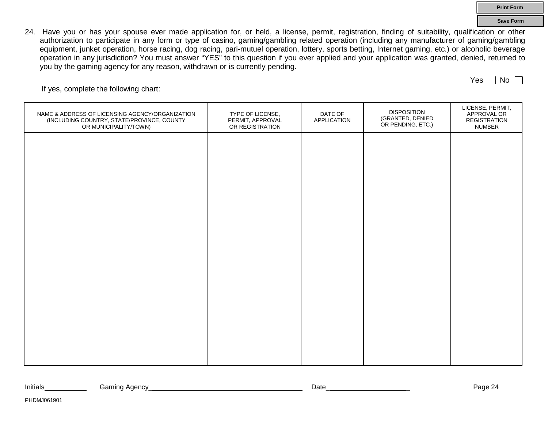24. Have you or has your spouse ever made application for, or held, a license, permit, registration, finding of suitability, qualification or other authorization to participate in any form or type of casino, gaming/gambling related operation (including any manufacturer of gaming/gambling equipment, junket operation, horse racing, dog racing, pari-mutuel operation, lottery, sports betting, Internet gaming, etc.) or alcoholic beverage operation in any jurisdiction? You must answer "YES" to this question if you ever applied and your application was granted, denied, returned to you by the gaming agency for any reason, withdrawn or is currently pending.

If yes, complete the following chart:

| NAME & ADDRESS OF LICENSING AGENCY/ORGANIZATION<br>(INCLUDING COUNTRY, STATE/PROVINCE, COUNTY<br>OR MUNICIPALITY/TOWN) | TYPE OF LICENSE,<br>PERMIT, APPROVAL<br>OR REGISTRATION | DATE OF<br><b>APPLICATION</b> | <b>DISPOSITION</b><br>(GRANTED, DENIED<br>OR PENDING, ETC.) | LICENSE, PERMIT,<br>APPROVAL OR<br>REGISTRATION<br><b>NUMBER</b> |
|------------------------------------------------------------------------------------------------------------------------|---------------------------------------------------------|-------------------------------|-------------------------------------------------------------|------------------------------------------------------------------|
|                                                                                                                        |                                                         |                               |                                                             |                                                                  |
|                                                                                                                        |                                                         |                               |                                                             |                                                                  |
|                                                                                                                        |                                                         |                               |                                                             |                                                                  |
|                                                                                                                        |                                                         |                               |                                                             |                                                                  |
|                                                                                                                        |                                                         |                               |                                                             |                                                                  |
|                                                                                                                        |                                                         |                               |                                                             |                                                                  |
|                                                                                                                        |                                                         |                               |                                                             |                                                                  |
|                                                                                                                        |                                                         |                               |                                                             |                                                                  |

Initials Caming Agency Communication Contract Communication Contract Communication Communication Communication

**Print Form Save Form**

Yes  $|$  No  $\Box$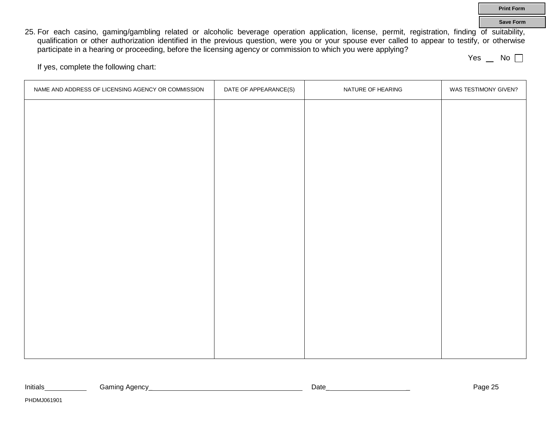25. For each casino, gaming/gambling related or alcoholic beverage operation application, license, permit, registration, finding of suitability, qualification or other authorization identified in the previous question, were you or your spouse ever called to appear to testify, or otherwise participate in a hearing or proceeding, before the licensing agency or commission to which you were applying?

Yes  $\Box$  No  $\Box$ 

**Print Form Save Form**

If yes, complete the following chart:

| NAME AND ADDRESS OF LICENSING AGENCY OR COMMISSION | DATE OF APPEARANCE(S) | NATURE OF HEARING | WAS TESTIMONY GIVEN? |
|----------------------------------------------------|-----------------------|-------------------|----------------------|
|                                                    |                       |                   |                      |
|                                                    |                       |                   |                      |
|                                                    |                       |                   |                      |
|                                                    |                       |                   |                      |
|                                                    |                       |                   |                      |
|                                                    |                       |                   |                      |
|                                                    |                       |                   |                      |
|                                                    |                       |                   |                      |
|                                                    |                       |                   |                      |
|                                                    |                       |                   |                      |
|                                                    |                       |                   |                      |
|                                                    |                       |                   |                      |
|                                                    |                       |                   |                      |
|                                                    |                       |                   |                      |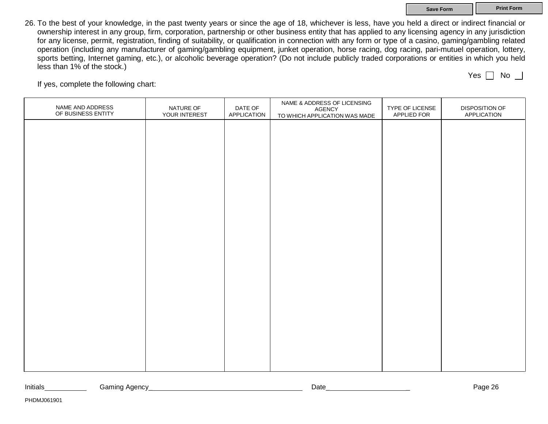#### **Save Form Print Form**

26. To the best of your knowledge, in the past twenty years or since the age of 18, whichever is less, have you held a direct or indirect financial or ownership interest in any group, firm, corporation, partnership or other business entity that has applied to any licensing agency in any jurisdiction for any license, permit, registration, finding of suitability, or qualification in connection with any form or type of a casino, gaming/gambling related operation (including any manufacturer of gaming/gambling equipment, junket operation, horse racing, dog racing, pari-mutuel operation, lottery, sports betting, Internet gaming, etc.), or alcoholic beverage operation? (Do not include publicly traded corporations or entities in which you held less than 1% of the stock.) Yes  $\Box$  No  $\Box$ 

If yes, complete the following chart:

| NAME AND ADDRESS<br>OF BUSINESS ENTITY | NATURE OF<br>YOUR INTEREST | DATE OF<br>APPLICATION | NAME & ADDRESS OF LICENSING<br><b>AGENCY</b><br>TO WHICH APPLICATION WAS MADE | TYPE OF LICENSE<br>APPLIED FOR | DISPOSITION OF<br>APPLICATION |
|----------------------------------------|----------------------------|------------------------|-------------------------------------------------------------------------------|--------------------------------|-------------------------------|
|                                        |                            |                        |                                                                               |                                |                               |
|                                        |                            |                        |                                                                               |                                |                               |
|                                        |                            |                        |                                                                               |                                |                               |
|                                        |                            |                        |                                                                               |                                |                               |
|                                        |                            |                        |                                                                               |                                |                               |
|                                        |                            |                        |                                                                               |                                |                               |
|                                        |                            |                        |                                                                               |                                |                               |
|                                        |                            |                        |                                                                               |                                |                               |
|                                        |                            |                        |                                                                               |                                |                               |
|                                        |                            |                        |                                                                               |                                |                               |
|                                        |                            |                        |                                                                               |                                |                               |
|                                        |                            |                        |                                                                               |                                |                               |

Initials Caming Agency Communication Contract Communication Contract Communication Communication Communication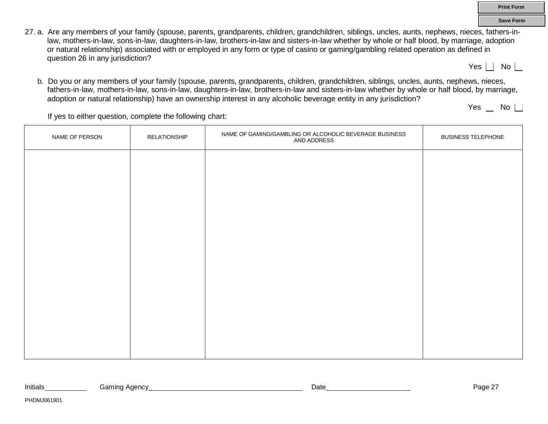- 27. a. Are any members of your family (spouse, parents, grandparents, children, grandchildren, siblings, uncles, aunts, nephews, nieces, fathers-inlaw, mothers-in-law, sons-in-law, daughters-in-law, brothers-in-law and sisters-in-law whether by whole or half blood, by marriage, adoption or natural relationship) associated with or employed in any form or type of casino or gaming/gambling related operation as defined in question 26 in any jurisdiction?
	- Yes  $\Box$  No  $\Box$

**Print Form Save Form**

b. Do you or any members of your family (spouse, parents, grandparents, children, grandchildren, siblings, uncles, aunts, nephews, nieces, fathers-in-law, mothers-in-law, sons-in-law, daughters-in-law, brothers-in-law and sisters-in-law whether by whole or half blood, by marriage, adoption or natural relationship) have an ownership interest in any alcoholic beverage entity in any jurisdiction?

Yes  $\Box$  No  $\Box$ 

If yes to either question, complete the following chart:

| NAME OF PERSON | RELATIONSHIP | NAME OF GAMING/GAMBLING OR ALCOHOLIC BEVERAGE BUSINESS AND ADDRESS | <b>BUSINESS TELEPHONE</b> |
|----------------|--------------|--------------------------------------------------------------------|---------------------------|
|                |              |                                                                    |                           |
|                |              |                                                                    |                           |
|                |              |                                                                    |                           |
|                |              |                                                                    |                           |
|                |              |                                                                    |                           |
|                |              |                                                                    |                           |
|                |              |                                                                    |                           |
|                |              |                                                                    |                           |
|                |              |                                                                    |                           |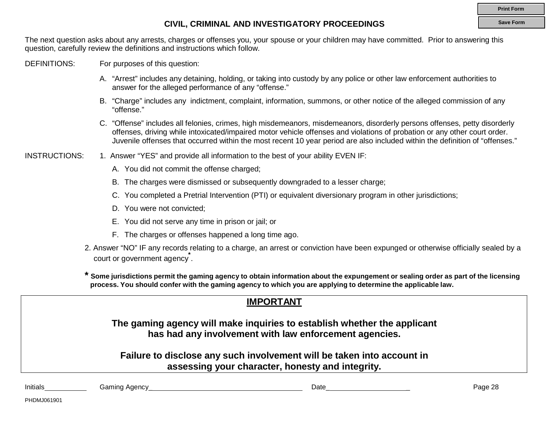#### **Save Form**

### **CIVIL, CRIMINAL AND INVESTIGATORY PROCEEDINGS**

The next question asks about any arrests, charges or offenses you, your spouse or your children may have committed. Prior to answering this question, carefully review the definitions and instructions which follow.

DEFINITIONS: For purposes of this question:

- A. "Arrest" includes any detaining, holding, or taking into custody by any police or other law enforcement authorities to answer for the alleged performance of any "offense."
- B. "Charge" includes any indictment, complaint, information, summons, or other notice of the alleged commission of any "offense."
- C. "Offense" includes all felonies, crimes, high misdemeanors, misdemeanors, disorderly persons offenses, petty disorderly offenses, driving while intoxicated/impaired motor vehicle offenses and violations of probation or any other court order. Juvenile offenses that occurred within the most recent 10 year period are also included within the definition of "offenses."

INSTRUCTIONS: 1. Answer "YES" and provide all information to the best of your ability EVEN IF:

- A. You did not commit the offense charged;
- B. The charges were dismissed or subsequently downgraded to a lesser charge;
- C. You completed a Pretrial Intervention (PTI) or equivalent diversionary program in other jurisdictions;
- D. You were not convicted;
- E. You did not serve any time in prison or jail; or
- F. The charges or offenses happened a long time ago.
- court or government agency<sup>\*</sup>. 2. Answer "NO" IF any records relating to a charge, an arrest or conviction have been expunged or otherwise officially sealed by a

**\* Some jurisdictions permit the gaming agency to obtain information about the expungement or sealing order as part of the licensing process. You should confer with the gaming agency to which you are applying to determine the applicable law.**

|                                                                                                                            |               | <b>IMPORTANT</b>                                                                                                                   |         |  |  |
|----------------------------------------------------------------------------------------------------------------------------|---------------|------------------------------------------------------------------------------------------------------------------------------------|---------|--|--|
|                                                                                                                            |               | The gaming agency will make inquiries to establish whether the applicant<br>has had any involvement with law enforcement agencies. |         |  |  |
| Failure to disclose any such involvement will be taken into account in<br>assessing your character, honesty and integrity. |               |                                                                                                                                    |         |  |  |
| Initials                                                                                                                   | Gaming Agency | Date                                                                                                                               | Page 28 |  |  |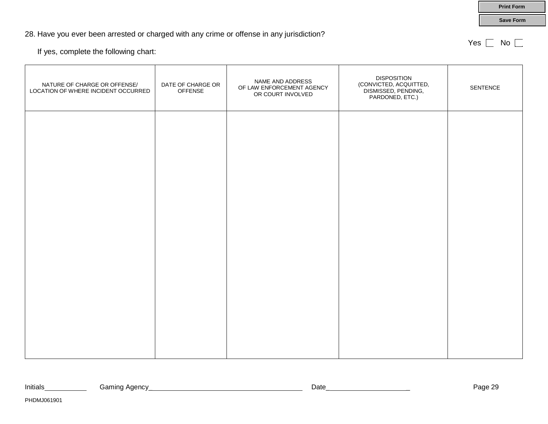### 28. Have you ever been arrested or charged with any crime or offense in any jurisdiction?

If yes, complete the following chart:

PHDMJ061901

| NATURE OF CHARGE OR OFFENSE/<br>LOCATION OF WHERE INCIDENT OCCURRED | DATE OF CHARGE OR<br><b>OFFENSE</b> | NAME AND ADDRESS<br>OF LAW ENFORCEMENT AGENCY<br>OR COURT INVOLVED | <b>DISPOSITION</b><br>(CONVICTED, ACQUITTED,<br>DISMISSED, PENDING,<br>PARDONED, ETC.) | SENTENCE |
|---------------------------------------------------------------------|-------------------------------------|--------------------------------------------------------------------|----------------------------------------------------------------------------------------|----------|
|                                                                     |                                     |                                                                    |                                                                                        |          |
|                                                                     |                                     |                                                                    |                                                                                        |          |
|                                                                     |                                     |                                                                    |                                                                                        |          |
|                                                                     |                                     |                                                                    |                                                                                        |          |
|                                                                     |                                     |                                                                    |                                                                                        |          |
|                                                                     |                                     |                                                                    |                                                                                        |          |

**Save Form**

**Print Form**

Yes  $\Box$  No  $\Box$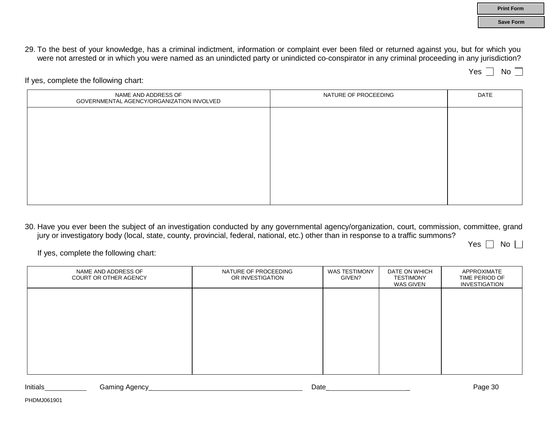**Save Form**

29. To the best of your knowledge, has a criminal indictment, information or complaint ever been filed or returned against you, but for which you were not arrested or in which you were named as an unindicted party or unindicted co-conspirator in any criminal proceeding in any jurisdiction?

 $Yes \nightharpoonup No \nightharpoonup$ 

If yes, complete the following chart:

| NAME AND ADDRESS OF<br>GOVERNMENTAL AGENCY/ORGANIZATION INVOLVED | NATURE OF PROCEEDING | DATE |
|------------------------------------------------------------------|----------------------|------|
|                                                                  |                      |      |
|                                                                  |                      |      |
|                                                                  |                      |      |
|                                                                  |                      |      |
|                                                                  |                      |      |
|                                                                  |                      |      |

30. Have you ever been the subject of an investigation conducted by any governmental agency/organization, court, commission, committee, grand jury or investigatory body (local, state, county, provincial, federal, national, etc.) other than in response to a traffic summons?

Yes  $\Box$  No  $\Box$ 

If yes, complete the following chart:

| NAME AND ADDRESS OF<br>COURT OR OTHER AGENCY | NATURE OF PROCEEDING<br>OR INVESTIGATION | <b>WAS TESTIMONY</b><br>GIVEN? | DATE ON WHICH<br><b>TESTIMONY</b><br>WAS GIVEN | APPROXIMATE<br>TIME PERIOD OF<br><b>INVESTIGATION</b> |
|----------------------------------------------|------------------------------------------|--------------------------------|------------------------------------------------|-------------------------------------------------------|
|                                              |                                          |                                |                                                |                                                       |
|                                              |                                          |                                |                                                |                                                       |
|                                              |                                          |                                |                                                |                                                       |
|                                              |                                          |                                |                                                |                                                       |

| Initials | amınd.<br>Agency | Date | ~<br>Page<br>ື |
|----------|------------------|------|----------------|
|          |                  |      |                |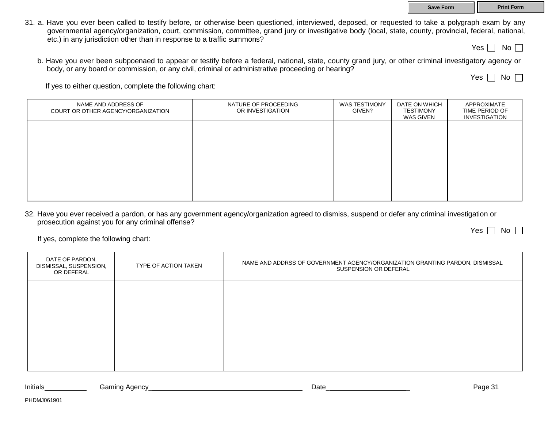31. a. Have you ever been called to testify before, or otherwise been questioned, interviewed, deposed, or requested to take a polygraph exam by any governmental agency/organization, court, commission, committee, grand jury or investigative body (local, state, county, provincial, federal, national, etc.) in any jurisdiction other than in response to a traffic summons?

Yes  $\Box$  No  $\Box$ 

b. Have you ever been subpoenaed to appear or testify before a federal, national, state, county grand jury, or other criminal investigatory agency or body, or any board or commission, or any civil, criminal or administrative proceeding or hearing?

Yes  $\Box$  No  $\Box$ 

If yes to either question, complete the following chart:

| NAME AND ADDRESS OF<br>COURT OR OTHER AGENCY/ORGANIZATION | NATURE OF PROCEEDING<br>OR INVESTIGATION | <b>WAS TESTIMONY</b><br>GIVEN? | DATE ON WHICH<br><b>TESTIMONY</b><br>WAS GIVEN | APPROXIMATE<br>TIME PERIOD OF<br><b>INVESTIGATION</b> |
|-----------------------------------------------------------|------------------------------------------|--------------------------------|------------------------------------------------|-------------------------------------------------------|
|                                                           |                                          |                                |                                                |                                                       |
|                                                           |                                          |                                |                                                |                                                       |
|                                                           |                                          |                                |                                                |                                                       |
|                                                           |                                          |                                |                                                |                                                       |

32. Have you ever received a pardon, or has any government agency/organization agreed to dismiss, suspend or defer any criminal investigation or prosecution against you for any criminal offense? Yes  $\Box$  No  $\Box$ 

If yes, complete the following chart:

| DATE OF PARDON,<br>DISMISSAL, SUSPENSION,<br>OR DEFERAL | TYPE OF ACTION TAKEN | NAME AND ADDRSS OF GOVERNMENT AGENCY/ORGANIZATION GRANTING PARDON, DISMISSAL<br>SUSPENSION OR DEFERAL |
|---------------------------------------------------------|----------------------|-------------------------------------------------------------------------------------------------------|
|                                                         |                      |                                                                                                       |
|                                                         |                      |                                                                                                       |
|                                                         |                      |                                                                                                       |
|                                                         |                      |                                                                                                       |

Initials Gaming Agency\_ Date\_ \_ Page 31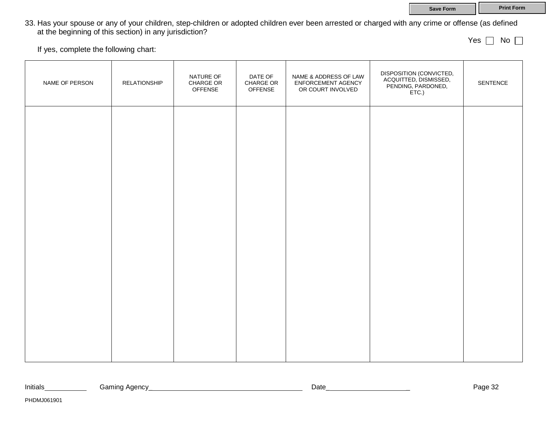**Save Form Print Form** 

33. Has your spouse or any of your children, step-children or adopted children ever been arrested or charged with any crime or offense (as defined at the beginning of this section) in any jurisdiction?

Yes  $\Box$  No  $\Box$ 

If yes, complete the following chart:

| NAME OF PERSON | <b>RELATIONSHIP</b> | NATURE OF<br>CHARGE OR<br><b>OFFENSE</b> | DATE OF<br>CHARGE OR<br><b>OFFENSE</b> | NAME & ADDRESS OF LAW<br>ENFORCEMENT AGENCY<br>OR COURT INVOLVED | DISPOSITION (CONVICTED,<br>ACQUITTED, DISMISSED,<br>PENDING, PARDONED, | SENTENCE |
|----------------|---------------------|------------------------------------------|----------------------------------------|------------------------------------------------------------------|------------------------------------------------------------------------|----------|
|                |                     |                                          |                                        |                                                                  |                                                                        |          |
|                |                     |                                          |                                        |                                                                  |                                                                        |          |
|                |                     |                                          |                                        |                                                                  |                                                                        |          |
|                |                     |                                          |                                        |                                                                  |                                                                        |          |
|                |                     |                                          |                                        |                                                                  |                                                                        |          |
|                |                     |                                          |                                        |                                                                  |                                                                        |          |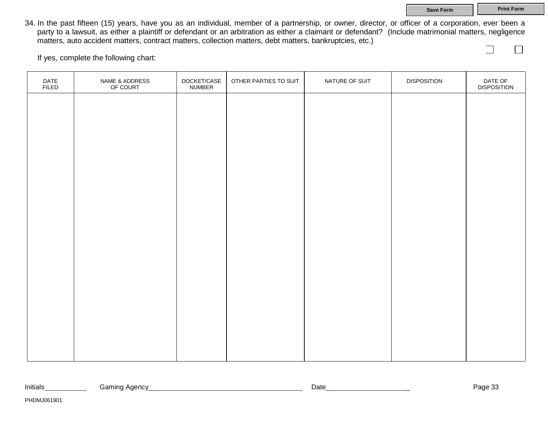**Save Form Print Form** 

 $\Box$ 

34. In the past fifteen (15) years, have you as an individual, member of a partnership, or owner, director, or officer of a corporation, ever been a party to a lawsuit, as either a plaintiff or defendant or an arbitration as either a claimant or defendant? (Include matrimonial matters, negligence matters, auto accident matters, contract matters, collection matters, debt matters, bankruptcies, etc.)

If yes, complete the following chart:

| DATE<br><b>FILED</b> | NAME & ADDRESS<br>OF COURT | DOCKET/CASE<br><b>NUMBER</b> | OTHER PARTIES TO SUIT | NATURE OF SUIT | <b>DISPOSITION</b> | DATE OF<br>DISPOSITION |
|----------------------|----------------------------|------------------------------|-----------------------|----------------|--------------------|------------------------|
|                      |                            |                              |                       |                |                    |                        |
|                      |                            |                              |                       |                |                    |                        |
|                      |                            |                              |                       |                |                    |                        |
|                      |                            |                              |                       |                |                    |                        |
|                      |                            |                              |                       |                |                    |                        |
|                      |                            |                              |                       |                |                    |                        |
|                      |                            |                              |                       |                |                    |                        |
|                      |                            |                              |                       |                |                    |                        |
|                      |                            |                              |                       |                |                    |                        |
|                      |                            |                              |                       |                |                    |                        |
|                      |                            |                              |                       |                |                    |                        |
|                      |                            |                              |                       |                |                    |                        |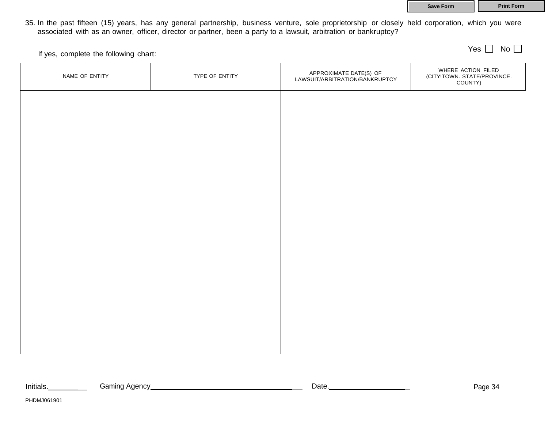|  | Save Form |  |
|--|-----------|--|
|  |           |  |

**Print Form** 

Yes  $\Box$  No  $\Box$ 

35. In the past fifteen (15) years, has any general partnership, business venture, sole proprietorship or closely held corporation, which you were associated with as an owner, officer, director or partner, been a party to a lawsuit, arbitration or bankruptcy?

If yes, complete the following chart:

| NAME OF ENTITY | TYPE OF ENTITY | APPROXIMATE DATE(S) OF<br>LAWSUIT/ARBITRATION/BANKRUPTCY | WHERE ACTION FILED<br>(CITY!TOWN. STATE/PROVINCE.<br>COUNTY) |
|----------------|----------------|----------------------------------------------------------|--------------------------------------------------------------|
|                |                |                                                          |                                                              |
|                |                |                                                          |                                                              |
|                |                |                                                          |                                                              |
|                |                |                                                          |                                                              |
|                |                |                                                          |                                                              |
|                |                |                                                          |                                                              |
|                |                |                                                          |                                                              |
|                |                |                                                          |                                                              |
|                |                |                                                          |                                                              |
|                |                |                                                          |                                                              |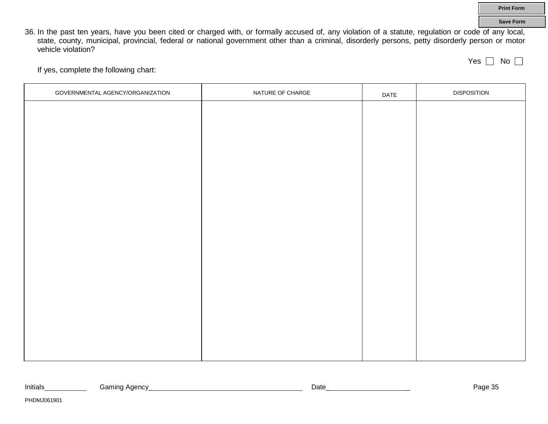36. In the past ten years, have you been cited or charged with, or formally accused of, any violation of a statute, regulation or code of any local, state, county, municipal, provincial, federal or national government other than a criminal, disorderly persons, petty disorderly person or motor vehicle violation?

Yes  $\Box$  No  $\Box$ 

If yes, complete the following chart:

| GOVERNMENTAL AGENCY/ORGANIZATION | NATURE OF CHARGE | DATE | <b>DISPOSITION</b> |
|----------------------------------|------------------|------|--------------------|
|                                  |                  |      |                    |
|                                  |                  |      |                    |
|                                  |                  |      |                    |
|                                  |                  |      |                    |
|                                  |                  |      |                    |
|                                  |                  |      |                    |
|                                  |                  |      |                    |
|                                  |                  |      |                    |
|                                  |                  |      |                    |
|                                  |                  |      |                    |
|                                  |                  |      |                    |
|                                  |                  |      |                    |
|                                  |                  |      |                    |
|                                  |                  |      |                    |
|                                  |                  |      |                    |
|                                  |                  |      |                    |
|                                  |                  |      |                    |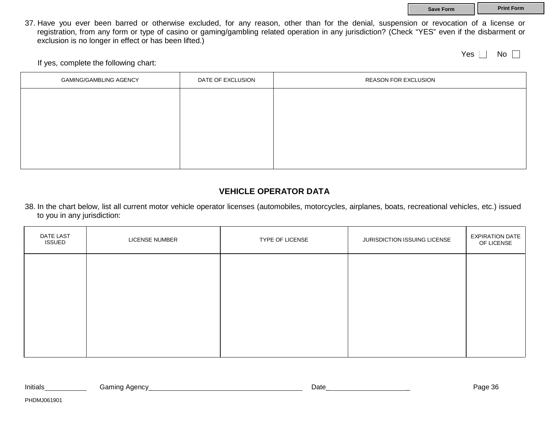**Save Form Print Form** 

37. Have you ever been barred or otherwise excluded, for any reason, other than for the denial, suspension or revocation of a license or registration, from any form or type of casino or gaming/gambling related operation in any jurisdiction? (Check "YES" even if the disbarment or exclusion is no longer in effect or has been lifted.)

Yes  $\Box$  No  $\Box$ 

If yes, complete the following chart:

| <b>GAMING/GAMBLING AGENCY</b> | DATE OF EXCLUSION | <b>REASON FOR EXCLUSION</b> |
|-------------------------------|-------------------|-----------------------------|
|                               |                   |                             |
|                               |                   |                             |
|                               |                   |                             |
|                               |                   |                             |
|                               |                   |                             |

### **VEHICLE OPERATOR DATA**

38. In the chart below, list all current motor vehicle operator licenses (automobiles, motorcycles, airplanes, boats, recreational vehicles, etc.) issued to you in any jurisdiction:

| DATE LAST<br><b>ISSUED</b> | LICENSE NUMBER | TYPE OF LICENSE | JURISDICTION ISSUING LICENSE | <b>EXPIRATION DATE</b><br>OF LICENSE |
|----------------------------|----------------|-----------------|------------------------------|--------------------------------------|
|                            |                |                 |                              |                                      |
|                            |                |                 |                              |                                      |
|                            |                |                 |                              |                                      |
|                            |                |                 |                              |                                      |

| .<br>Initials | ำminu⊥<br>¬ \ ›<br>, aar<br>. .<br>$  -$<br>. . | Jate | <b>ERIT</b> |
|---------------|-------------------------------------------------|------|-------------|
|               |                                                 |      |             |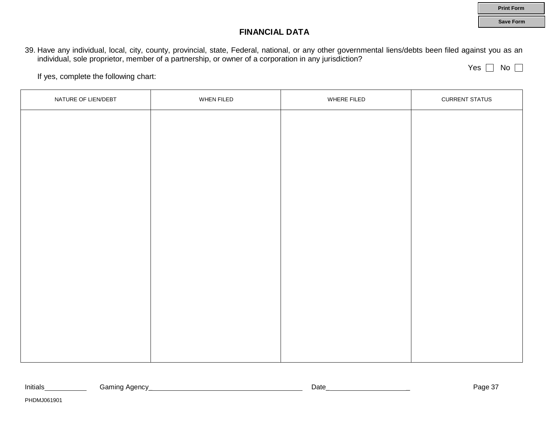### **FINANCIAL DATA**

39. Have any individual, local, city, county, provincial, state, Federal, national, or any other governmental liens/debts been filed against you as an individual, sole proprietor, member of a partnership, or owner of a corporation in any jurisdiction?

Yes  $\Box$  No  $\Box$ 

**Print Form Save Form**

If yes, complete the following chart:

| NATURE OF LIEN/DEBT | WHEN FILED | WHERE FILED | <b>CURRENT STATUS</b> |
|---------------------|------------|-------------|-----------------------|
|                     |            |             |                       |
|                     |            |             |                       |
|                     |            |             |                       |
|                     |            |             |                       |
|                     |            |             |                       |
|                     |            |             |                       |
|                     |            |             |                       |
|                     |            |             |                       |
|                     |            |             |                       |
|                     |            |             |                       |
|                     |            |             |                       |
|                     |            |             |                       |
|                     |            |             |                       |

| Initials | amır۔<br>Agency<br>. | שate | $\sim$ $\sim$<br>-auc<br>$\cdot$<br>. . |
|----------|----------------------|------|-----------------------------------------|
|          |                      |      |                                         |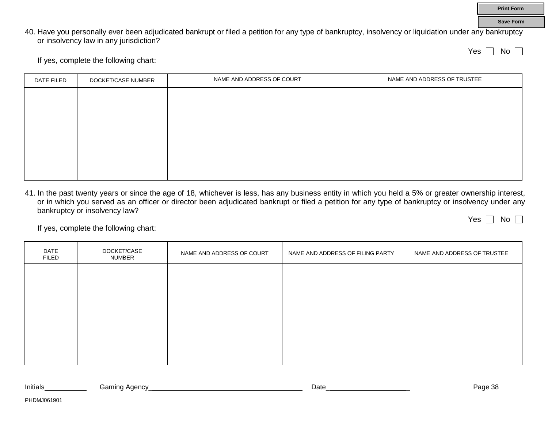40. Have you personally ever been adjudicated bankrupt or filed a petition for any type of bankruptcy, insolvency or liquidation under any bankruptcy or insolvency law in any jurisdiction?

**Print Form Save Form**

If yes, complete the following chart:

| DATE FILED | DOCKET/CASE NUMBER | NAME AND ADDRESS OF COURT | NAME AND ADDRESS OF TRUSTEE |
|------------|--------------------|---------------------------|-----------------------------|
|            |                    |                           |                             |
|            |                    |                           |                             |
|            |                    |                           |                             |
|            |                    |                           |                             |
|            |                    |                           |                             |
|            |                    |                           |                             |
|            |                    |                           |                             |

41. In the past twenty years or since the age of 18, whichever is less, has any business entity in which you held a 5% or greater ownership interest, or in which you served as an officer or director been adjudicated bankrupt or filed a petition for any type of bankruptcy or insolvency under any bankruptcy or insolvency law? Yes  $\Box$  No  $\Box$ 

If yes, complete the following chart:

| DATE<br><b>FILED</b> | DOCKET/CASE<br>NUMBER | NAME AND ADDRESS OF COURT | NAME AND ADDRESS OF FILING PARTY | NAME AND ADDRESS OF TRUSTEE |
|----------------------|-----------------------|---------------------------|----------------------------------|-----------------------------|
|                      |                       |                           |                                  |                             |
|                      |                       |                           |                                  |                             |
|                      |                       |                           |                                  |                             |
|                      |                       |                           |                                  |                             |
|                      |                       |                           |                                  |                             |

| Initials | aamına<br>. Adenc <sup>,</sup> | Date | ־י<br>⊇ane |
|----------|--------------------------------|------|------------|
|          |                                |      |            |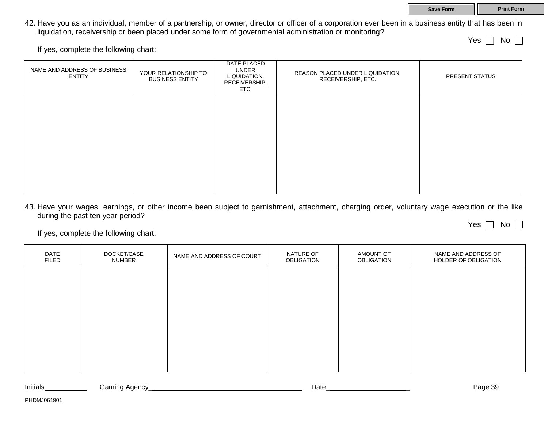# **Save Form Print Form**

### 42. Have you as an individual, member of a partnership, or owner, director or officer of a corporation ever been in a business entity that has been in liquidation, receivership or been placed under some form of governmental administration or monitoring?

If yes, complete the following chart:

| NAME AND ADDRESS OF BUSINESS<br><b>ENTITY</b> | YOUR RELATIONSHIP TO<br><b>BUSINESS ENTITY</b> | DATE PLACED<br>UNDER<br>LIQUIDATION,<br>RECEIVERSHIP,<br>ETC. | REASON PLACED UNDER LIQUIDATION,<br>RECEIVERSHIP, ETC. | PRESENT STATUS |
|-----------------------------------------------|------------------------------------------------|---------------------------------------------------------------|--------------------------------------------------------|----------------|
|                                               |                                                |                                                               |                                                        |                |
|                                               |                                                |                                                               |                                                        |                |
|                                               |                                                |                                                               |                                                        |                |

43. Have your wages, earnings, or other income been subject to garnishment, attachment, charging order, voluntary wage execution or the like during the past ten year period?

If yes, complete the following chart:

| <b>DATE</b><br><b>FILED</b> | DOCKET/CASE<br>NUMBER | NAME AND ADDRESS OF COURT | NATURE OF<br>OBLIGATION | AMOUNT OF<br><b>OBLIGATION</b> | NAME AND ADDRESS OF<br>HOLDER OF OBLIGATION |
|-----------------------------|-----------------------|---------------------------|-------------------------|--------------------------------|---------------------------------------------|
|                             |                       |                           |                         |                                |                                             |
|                             |                       |                           |                         |                                |                                             |
|                             |                       |                           |                         |                                |                                             |
|                             |                       |                           |                         |                                |                                             |
|                             |                       |                           |                         |                                |                                             |

|  | Initials | ∴ Adenem a<br>iamınd | Date | ാറ<br>Page 39 |
|--|----------|----------------------|------|---------------|
|--|----------|----------------------|------|---------------|

Yes  $\Box$  No  $\Box$ 

Yes  $\Box$  No  $\Box$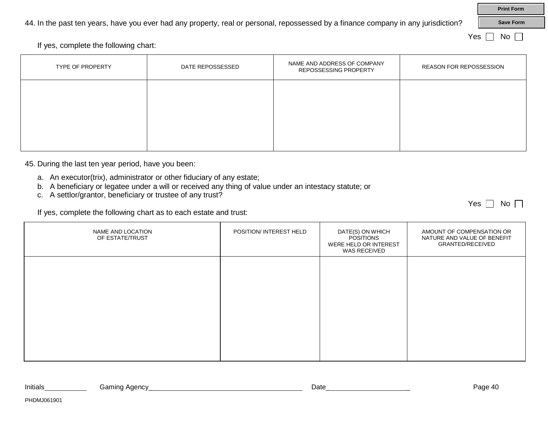44. In the past ten years, have you ever had any property, real or personal, repossessed by a finance company in any jurisdiction?

If yes, complete the following chart:

| TYPE OF PROPERTY | DATE REPOSSESSED | NAME AND ADDRESS OF COMPANY<br>REPOSSESSING PROPERTY | <b>REASON FOR REPOSSESSION</b> |
|------------------|------------------|------------------------------------------------------|--------------------------------|
|                  |                  |                                                      |                                |
|                  |                  |                                                      |                                |
|                  |                  |                                                      |                                |

45. During the last ten year period, have you been:

- a. An executor(trix), administrator or other fiduciary of any estate;
- b. A beneficiary or legatee under a will or received any thing of value under an intestacy statute; or
- c. A settlor/grantor, beneficiary or trustee of any trust?

If yes, complete the following chart as to each estate and trust:

| NAME AND LOCATION<br>OF ESTATE/TRUST | POSITION/ INTEREST HELD | DATE(S) ON WHICH<br><b>POSITIONS</b><br>WERE HELD OR INTEREST<br>WAS RECEIVED | AMOUNT OF COMPENSATION OR<br>NATURE AND VALUE OF BENEFIT<br><b>GRANTED/RECEIVED</b> |
|--------------------------------------|-------------------------|-------------------------------------------------------------------------------|-------------------------------------------------------------------------------------|
|                                      |                         |                                                                               |                                                                                     |
|                                      |                         |                                                                               |                                                                                     |
|                                      |                         |                                                                               |                                                                                     |
|                                      |                         |                                                                               |                                                                                     |

| Initials | c rom<br>aenc\<br>. . | Jate | au |
|----------|-----------------------|------|----|
|          |                       |      |    |

PHDMJ061901

**Save Form**

**Print Form**

Yes  $\Box$  No  $\Box$ 

Yes  $\Box$  No  $\Box$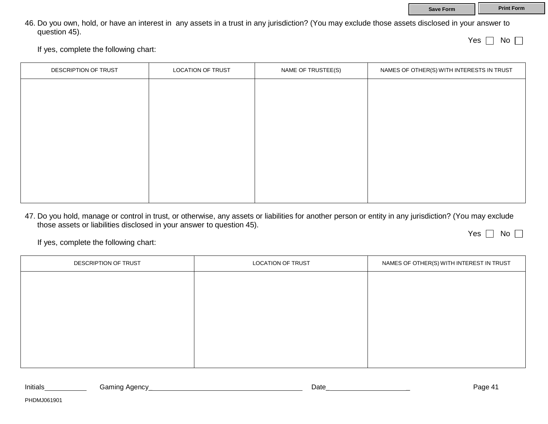|               | 46. Do you own, hold, or have an interest in any assets in a trust in any jurisdiction? (You may exclude those assets disclosed in your answer to |  |  |              |             |
|---------------|---------------------------------------------------------------------------------------------------------------------------------------------------|--|--|--------------|-------------|
| question 45). |                                                                                                                                                   |  |  |              |             |
|               |                                                                                                                                                   |  |  | Yes $\lceil$ | $No$ $\Box$ |

If yes, complete the following chart:

| DESCRIPTION OF TRUST | <b>LOCATION OF TRUST</b> | NAME OF TRUSTEE(S) | NAMES OF OTHER(S) WITH INTERESTS IN TRUST |
|----------------------|--------------------------|--------------------|-------------------------------------------|
|                      |                          |                    |                                           |
|                      |                          |                    |                                           |
|                      |                          |                    |                                           |
|                      |                          |                    |                                           |
|                      |                          |                    |                                           |
|                      |                          |                    |                                           |
|                      |                          |                    |                                           |
|                      |                          |                    |                                           |

47. Do you hold, manage or control in trust, or otherwise, any assets or liabilities for another person or entity in any jurisdiction? (You may exclude those assets or liabilities disclosed in your answer to question 45).

Yes  $\Box$  No  $\Box$ 

If yes, complete the following chart:

| DESCRIPTION OF TRUST | LOCATION OF TRUST | NAMES OF OTHER(S) WITH INTEREST IN TRUST |
|----------------------|-------------------|------------------------------------------|
|                      |                   |                                          |
|                      |                   |                                          |
|                      |                   |                                          |
|                      |                   |                                          |
|                      |                   |                                          |
|                      |                   |                                          |

| Initials | Adency<br>amıncد<br>. | Date | Page 4 |
|----------|-----------------------|------|--------|
|          |                       |      |        |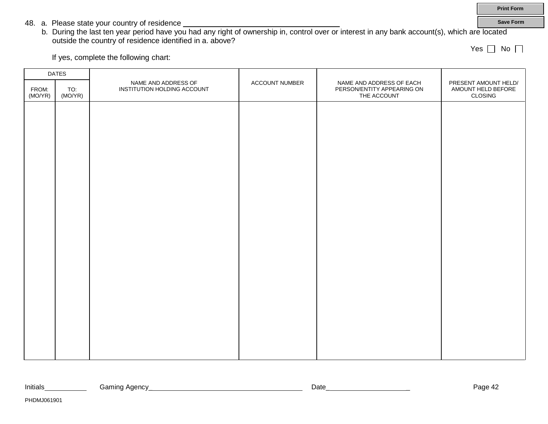**Print Form Save Form**

- 48. a. Please state your country of residence
	- b. During the last ten year period have you had any right of ownership in, control over or interest in any bank account(s), which are located outside the country of residence identified in a. above?

Yes  $\Box$  No  $\Box$ 

If yes, complete the following chart:

| <b>DATES</b>     |                |                                                    |                |                                                                       |                                                       |
|------------------|----------------|----------------------------------------------------|----------------|-----------------------------------------------------------------------|-------------------------------------------------------|
| FROM:<br>(MO/YR) | TO:<br>(MO/YR) | NAME AND ADDRESS OF<br>INSTITUTION HOLDING ACCOUNT | ACCOUNT NUMBER | NAME AND ADDRESS OF EACH<br>PERSON/ENTITY APPEARING ON<br>THE ACCOUNT | PRESENT AMOUNT HELD/<br>AMOUNT HELD BEFORE<br>CLOSING |
|                  |                |                                                    |                |                                                                       |                                                       |
|                  |                |                                                    |                |                                                                       |                                                       |
|                  |                |                                                    |                |                                                                       |                                                       |
|                  |                |                                                    |                |                                                                       |                                                       |
|                  |                |                                                    |                |                                                                       |                                                       |
|                  |                |                                                    |                |                                                                       |                                                       |
|                  |                |                                                    |                |                                                                       |                                                       |
|                  |                |                                                    |                |                                                                       |                                                       |
|                  |                |                                                    |                |                                                                       |                                                       |
|                  |                |                                                    |                |                                                                       |                                                       |
|                  |                |                                                    |                |                                                                       |                                                       |
|                  |                |                                                    |                |                                                                       |                                                       |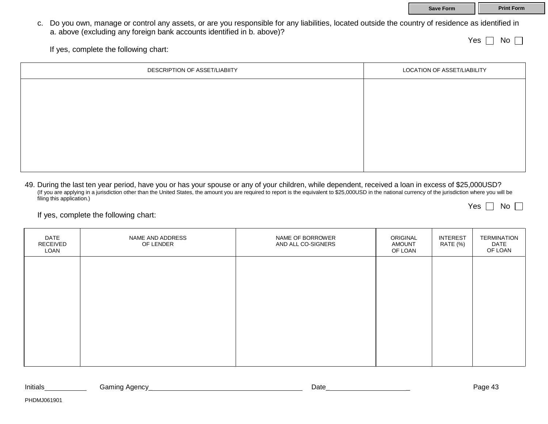**Save Form Print Form** 

c. Do you own, manage or control any assets, or are you responsible for any liabilities, located outside the country of residence as identified in a. above (excluding any foreign bank accounts identified in b. above)?

Yes  $\Box$  No  $\Box$ 

If yes, complete the following chart:

| DESCRIPTION OF ASSET/LIABIITY | LOCATION OF ASSET/LIABILITY |
|-------------------------------|-----------------------------|
|                               |                             |
|                               |                             |
|                               |                             |
|                               |                             |
|                               |                             |
|                               |                             |

49. During the last ten year period, have you or has your spouse or any of your children, while dependent, received a loan in excess of \$25,000USD? (If you are applying in a jurisdiction other than the United States, the amount you are required to report is the equivalent to \$25,000USD in the national currency of the jurisdiction where you will be filing this application.) Yes  $\Box$  No  $\Box$ 

If yes, complete the following chart:

| DATE<br>RECEIVED<br>LOAN | NAME AND ADDRESS<br>OF LENDER | NAME OF BORROWER<br>AND ALL CO-SIGNERS | ORIGINAL<br><b>AMOUNT</b><br>OF LOAN | <b>INTEREST</b><br>RATE (%) | <b>TERMINATION</b><br>DATE<br>OF LOAN |
|--------------------------|-------------------------------|----------------------------------------|--------------------------------------|-----------------------------|---------------------------------------|
|                          |                               |                                        |                                      |                             |                                       |
|                          |                               |                                        |                                      |                             |                                       |
|                          |                               |                                        |                                      |                             |                                       |
|                          |                               |                                        |                                      |                             |                                       |

| Initials | Gaming<br>Agency | Jate | י הנו<br>auc |
|----------|------------------|------|--------------|
|          |                  |      |              |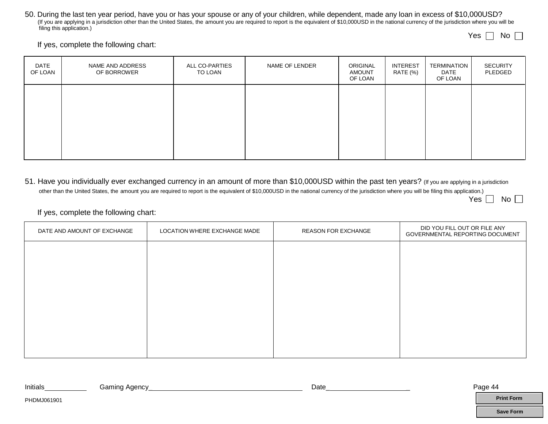50. During the last ten year period, have you or has your spouse or any of your children, while dependent, made any loan in excess of \$10,000USD? (If you are applying in a jurisdiction other than the United States, the amount you are required to report is the equivalent of \$10,000USD in the national currency of the jurisdiction where you will be filing this application.)

Yes  $\Box$  No  $\Box$ 

If yes, complete the following chart:

| DATE<br>OF LOAN | NAME AND ADDRESS<br>OF BORROWER | ALL CO-PARTIES<br>TO LOAN | NAME OF LENDER | ORIGINAL<br><b>AMOUNT</b><br>OF LOAN | <b>INTEREST</b><br>RATE (%) | TERMINATION<br>DATE<br>OF LOAN | <b>SECURITY</b><br>PLEDGED |
|-----------------|---------------------------------|---------------------------|----------------|--------------------------------------|-----------------------------|--------------------------------|----------------------------|
|                 |                                 |                           |                |                                      |                             |                                |                            |
|                 |                                 |                           |                |                                      |                             |                                |                            |
|                 |                                 |                           |                |                                      |                             |                                |                            |

51. Have you individually ever exchanged currency in an amount of more than \$10,000USD within the past ten years? (If you are applying in a jurisdiction other than the United States, the amount you are required to report is the equivalent of \$10,000USD in the national currency of the jurisdiction where you will be filing this application.) Yes  $\Box$  No  $\Box$ 

If yes, complete the following chart:

| DATE AND AMOUNT OF EXCHANGE | LOCATION WHERE EXCHANGE MADE | <b>REASON FOR EXCHANGE</b> | DID YOU FILL OUT OR FILE ANY<br>GOVERNMENTAL REPORTING DOCUMENT |
|-----------------------------|------------------------------|----------------------------|-----------------------------------------------------------------|
|                             |                              |                            |                                                                 |
|                             |                              |                            |                                                                 |
|                             |                              |                            |                                                                 |
|                             |                              |                            |                                                                 |
|                             |                              |                            |                                                                 |
|                             |                              |                            |                                                                 |

| Initials     | <b>Gaming Agency</b> | Date | Page 44 |  |
|--------------|----------------------|------|---------|--|
| PHDM IO61901 |                      |      |         |  |

**Save Form**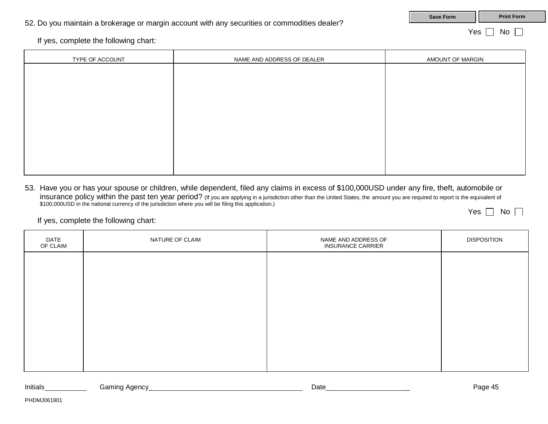If yes, complete the following chart:

| TYPE OF ACCOUNT | NAME AND ADDRESS OF DEALER | AMOUNT OF MARGIN |  |
|-----------------|----------------------------|------------------|--|
|                 |                            |                  |  |
|                 |                            |                  |  |
|                 |                            |                  |  |
|                 |                            |                  |  |
|                 |                            |                  |  |
|                 |                            |                  |  |
|                 |                            |                  |  |
|                 |                            |                  |  |

53. Have you or has your spouse or children, while dependent, filed any claims in excess of \$100,000USD under any fire, theft, automobile or insurance policy within the past ten year period? (If you are applying in a jurisdiction other than the United States, the amount you are required to report is the equivalent of \$100,000USD in the national currency of the jurisdiction where you will be filing this application.) Yes  $\Box$  No  $\Box$ 

If yes, complete the following chart:

| DATE<br>OF CLAIM | NATURE OF CLAIM | NAME AND ADDRESS OF<br><b>INSURANCE CARRIER</b> | <b>DISPOSITION</b> |
|------------------|-----------------|-------------------------------------------------|--------------------|
|                  |                 |                                                 |                    |
|                  |                 |                                                 |                    |
|                  |                 |                                                 |                    |
|                  |                 |                                                 |                    |
|                  |                 |                                                 |                    |
|                  |                 |                                                 |                    |

| Initials | Gaming Agency  | Date | 12022<br>$^{\prime\prime}$<br>aue |
|----------|----------------|------|-----------------------------------|
|          | . .<br>$\cdot$ |      |                                   |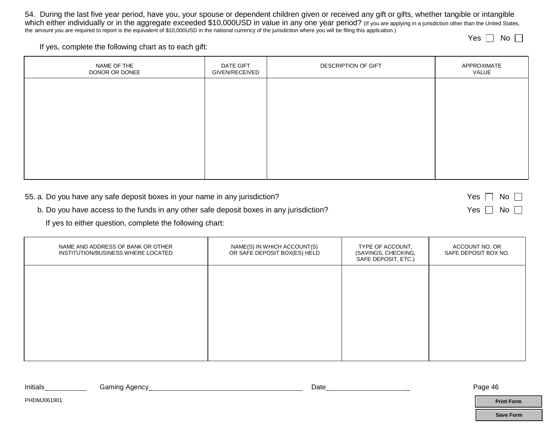54. During the last five year period, have you, your spouse or dependent children given or received any gift or gifts, whether tangible or intangible which either individually or in the aggregate exceeded \$10,000USD in value in any one year period? (If you are applying in a jurisdiction other than the United States, the amount you are required to report is the equivalent of \$10,000USD in the national currency of the jurisdiction where you will be filing this application.) Yes  $\Box$  No  $\Box$ 

If yes, complete the following chart as to each gift:

| NAME OF THE<br>DONOR OR DONEE | DATE GIFT<br>GIVEN/RECEIVED | DESCRIPTION OF GIFT | APPROXIMATE<br>VALUE |
|-------------------------------|-----------------------------|---------------------|----------------------|
|                               |                             |                     |                      |
|                               |                             |                     |                      |
|                               |                             |                     |                      |
|                               |                             |                     |                      |
|                               |                             |                     |                      |

| 55. a. Do you have any safe deposit boxes in your name in any jurisdiction?             | $Yes \Box No \Box$   |
|-----------------------------------------------------------------------------------------|----------------------|
| b. Do you have access to the funds in any other safe deposit boxes in any jurisdiction? | Yes $\Box$ No $\Box$ |

If yes to either question, complete the following chart:

| NAME AND ADDRESS OF BANK OR OTHER<br>INSTITUTION/BUSINESS WHERE LOCATED | NAME(S) IN WHICH ACCOUNT(S)<br>OR SAFE DEPOSIT BOX(ES) HELD | TYPE OF ACCOUNT,<br>(SAVINGS, CHECKING,<br>SAFE DEPOSIT, ETC.) | ACCOUNT NO. OR<br>SAFE DEPOSIT BOX NO. |
|-------------------------------------------------------------------------|-------------------------------------------------------------|----------------------------------------------------------------|----------------------------------------|
|                                                                         |                                                             |                                                                |                                        |
|                                                                         |                                                             |                                                                |                                        |
|                                                                         |                                                             |                                                                |                                        |
|                                                                         |                                                             |                                                                |                                        |

| Initials | ∙nc<br>. . | Date | - ศเว |
|----------|------------|------|-------|
|          | ____       |      |       |

**Save Form**

**Print Form**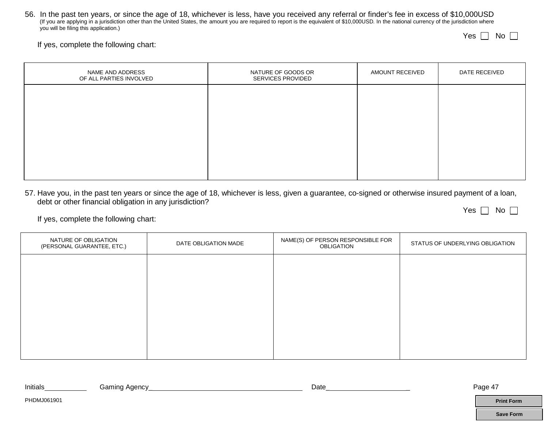56. In the past ten years, or since the age of 18, whichever is less, have you received any referral or finder's fee in excess of \$10,000USD (If you are applying in a jurisdiction other than the United States, the amount you are required to report is the equivalent of \$10,000USD. In the national currency of the jurisdiction where you will be filing this application.)

Yes  $\Box$  No

### If yes, complete the following chart:

| NAME AND ADDRESS<br>OF ALL PARTIES INVOLVED | NATURE OF GOODS OR<br>SERVICES PROVIDED | AMOUNT RECEIVED | DATE RECEIVED |
|---------------------------------------------|-----------------------------------------|-----------------|---------------|
|                                             |                                         |                 |               |
|                                             |                                         |                 |               |
|                                             |                                         |                 |               |
|                                             |                                         |                 |               |
|                                             |                                         |                 |               |

57. Have you, in the past ten years or since the age of 18, whichever is less, given a guarantee, co-signed or otherwise insured payment of a loan, debt or other financial obligation in any jurisdiction? Yes  $\Box$  No  $\Box$ 

If yes, complete the following chart:

| NATURE OF OBLIGATION<br>DATE OBLIGATION MADE<br>(PERSONAL GUARANTEE, ETC.) |  | NAME(S) OF PERSON RESPONSIBLE FOR<br><b>OBLIGATION</b> | STATUS OF UNDERLYING OBLIGATION |
|----------------------------------------------------------------------------|--|--------------------------------------------------------|---------------------------------|
|                                                                            |  |                                                        |                                 |
|                                                                            |  |                                                        |                                 |
|                                                                            |  |                                                        |                                 |
|                                                                            |  |                                                        |                                 |
|                                                                            |  |                                                        |                                 |

| <b>Initials</b><br>. Agency<br>ڪamin⊂<br>Date<br>~~ | <b>Door</b><br>auc |
|-----------------------------------------------------|--------------------|
|-----------------------------------------------------|--------------------|

**Print Form**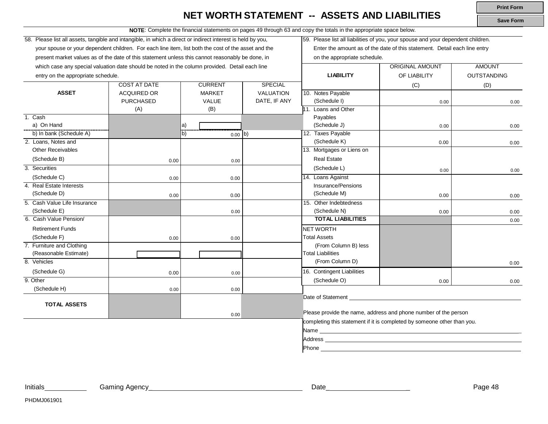### **NET WORTH STATEMENT -- ASSETS AND LIABILITIES**

**NOTE**: Complete the financial statements on pages 49 through 63 and copy the totals in the appropriate space below.

58. Please list all assets, tangible and intangible, in which a direct or indirect interest is held by you, your spouse or your dependent children. For each line item, list both the cost of the asset and the present market values as of the date of this statement unless this cannot reasonably be done, in which case any special valuation date should be noted in the column provided. Detail each line

59. Please list all liabilities of you, your spouse and your dependent children. Enter the amount as of the date of this statement. Detail each line entry

on the appropriate schedule.

| which case any special valuation date should be noted in the column provided. Detail each line |                     |                 |                  |                                                                                                                 | ORIGINAL AMOUNT                                                         | AMOUNT      |
|------------------------------------------------------------------------------------------------|---------------------|-----------------|------------------|-----------------------------------------------------------------------------------------------------------------|-------------------------------------------------------------------------|-------------|
| entry on the appropriate schedule.                                                             |                     |                 |                  | <b>LIABILITY</b>                                                                                                | OF LIABILITY                                                            | OUTSTANDING |
|                                                                                                | <b>COST AT DATE</b> | <b>CURRENT</b>  | <b>SPECIAL</b>   |                                                                                                                 | (C)                                                                     | (D)         |
| <b>ASSET</b>                                                                                   | <b>ACQUIRED OR</b>  | <b>MARKET</b>   | <b>VALUATION</b> | 10. Notes Payable                                                                                               |                                                                         |             |
|                                                                                                | <b>PURCHASED</b>    | VALUE           | DATE, IF ANY     | (Schedule I)                                                                                                    | 0.00                                                                    | 0.00        |
|                                                                                                | (A)                 | (B)             |                  | 11. Loans and Other                                                                                             |                                                                         |             |
| 1. Cash                                                                                        |                     |                 |                  | Payables                                                                                                        |                                                                         |             |
| a) On Hand                                                                                     |                     | a)              |                  | (Schedule J)                                                                                                    | 0.00                                                                    | 0.00        |
| b) In bank (Schedule A)                                                                        |                     | b)<br>$0.00$ b) |                  | 12. Taxes Payable                                                                                               |                                                                         |             |
| 2. Loans, Notes and                                                                            |                     |                 |                  | (Schedule K)                                                                                                    | 0.00                                                                    | 0.00        |
| <b>Other Receivables</b>                                                                       |                     |                 |                  | 13. Mortgages or Liens on                                                                                       |                                                                         |             |
| (Schedule B)                                                                                   | 0.00                | 0.00            |                  | <b>Real Estate</b>                                                                                              |                                                                         |             |
| 3. Securities                                                                                  |                     |                 |                  | (Schedule L)                                                                                                    | 0.00                                                                    | 0.00        |
| (Schedule C)                                                                                   | 0.00                | 0.00            |                  | 14. Loans Against                                                                                               |                                                                         |             |
| 4. Real Estate Interests                                                                       |                     |                 |                  | Insurance/Pensions                                                                                              |                                                                         |             |
| (Schedule D)                                                                                   | 0.00                | 0.00            |                  | (Schedule M)                                                                                                    | 0.00                                                                    | 0.00        |
| 5. Cash Value Life Insurance                                                                   |                     |                 |                  | 15. Other Indebtedness                                                                                          |                                                                         |             |
| (Schedule E)                                                                                   |                     | 0.00            |                  | (Schedule N)                                                                                                    | 0.00                                                                    | 0.00        |
| 6. Cash Value Pension/                                                                         |                     |                 |                  | <b>TOTAL LIABILITIES</b>                                                                                        |                                                                         | 0.00        |
| <b>Retirement Funds</b>                                                                        |                     |                 |                  | <b>NET WORTH</b>                                                                                                |                                                                         |             |
| (Schedule F)                                                                                   | 0.00                | 0.00            |                  | <b>Total Assets</b>                                                                                             |                                                                         |             |
| 7. Furniture and Clothing                                                                      |                     |                 |                  | (From Column B) less                                                                                            |                                                                         |             |
| (Reasonable Estimate)                                                                          |                     |                 |                  | <b>Total Liabilities</b>                                                                                        |                                                                         |             |
| 8. Vehicles                                                                                    |                     |                 |                  | (From Column D)                                                                                                 |                                                                         | 0.00        |
| (Schedule G)                                                                                   | 0.00                | 0.00            |                  | 16. Contingent Liabilities                                                                                      |                                                                         |             |
| 9. Other                                                                                       |                     |                 |                  | (Schedule O)                                                                                                    | 0.00                                                                    | 0.00        |
| (Schedule H)                                                                                   | 0.00                | 0.00            |                  |                                                                                                                 |                                                                         |             |
|                                                                                                |                     |                 |                  | Date of Statement                                                                                               |                                                                         |             |
| <b>TOTAL ASSETS</b>                                                                            |                     |                 |                  |                                                                                                                 |                                                                         |             |
|                                                                                                |                     | 0.00            |                  |                                                                                                                 | Please provide the name, address and phone number of the person         |             |
|                                                                                                |                     |                 |                  |                                                                                                                 | completing this statement if it is completed by someone other than you. |             |
|                                                                                                |                     |                 |                  |                                                                                                                 |                                                                         |             |
|                                                                                                |                     |                 |                  | Address and the contract of the contract of the contract of the contract of the contract of the contract of the |                                                                         |             |
|                                                                                                |                     |                 |                  | Phone                                                                                                           |                                                                         |             |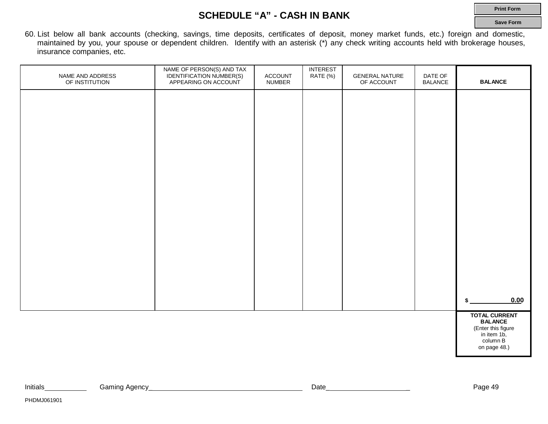### **SCHEDULE "A" - CASH IN BANK**

**Print Form**

**Save Form**

60. List below all bank accounts (checking, savings, time deposits, certificates of deposit, money market funds, etc.) foreign and domestic, maintained by you, your spouse or dependent children. Identify with an asterisk (\*) any check writing accounts held with brokerage houses, insurance companies, etc.

| NAME AND ADDRESS<br>OF INSTITUTION | NAME OF PERSON(S) AND TAX<br>IDENTIFICATION NUMBER(S)<br>APPEARING ON ACCOUNT | ACCOUNT<br><b>NUMBER</b> | INTEREST<br>RATE (%) | <b>GENERAL NATURE</b><br>OF ACCOUNT | DATE OF<br><b>BALANCE</b> | <b>BALANCE</b>                                                                                          |
|------------------------------------|-------------------------------------------------------------------------------|--------------------------|----------------------|-------------------------------------|---------------------------|---------------------------------------------------------------------------------------------------------|
|                                    |                                                                               |                          |                      |                                     |                           |                                                                                                         |
|                                    |                                                                               |                          |                      |                                     |                           |                                                                                                         |
|                                    |                                                                               |                          |                      |                                     |                           |                                                                                                         |
|                                    |                                                                               |                          |                      |                                     |                           |                                                                                                         |
|                                    |                                                                               |                          |                      |                                     |                           |                                                                                                         |
|                                    |                                                                               |                          |                      |                                     |                           |                                                                                                         |
|                                    |                                                                               |                          |                      |                                     |                           |                                                                                                         |
|                                    |                                                                               |                          |                      |                                     |                           |                                                                                                         |
|                                    |                                                                               |                          |                      |                                     |                           |                                                                                                         |
|                                    |                                                                               |                          |                      |                                     |                           | 0.00<br>\$                                                                                              |
|                                    |                                                                               |                          |                      |                                     |                           | <b>TOTAL CURRENT</b><br><b>BALANCE</b><br>(Enter this figure<br>in item 1b,<br>column B<br>on page 48.) |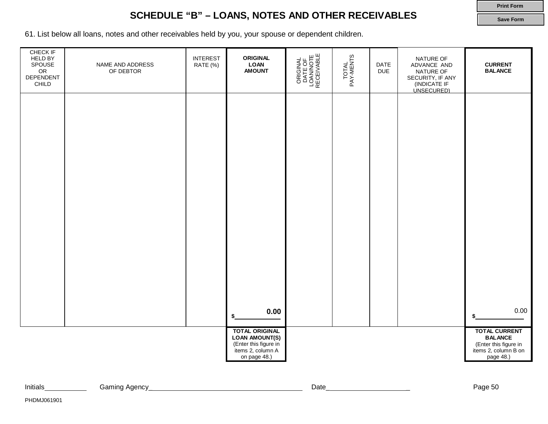### **SCHEDULE "B" – LOANS, NOTES AND OTHER RECEIVABLES**

**Print Form Save Form**

61. List below all loans, notes and other receivables held by you, your spouse or dependent children.

| CHECK IF<br>HELD BY<br>SPOUSE<br>OR<br>DEPENDENT<br>CHILD | NAME AND ADDRESS<br>OF DEBTOR | <b>INTEREST</b><br>RATE (%) | <b>ORIGINAL</b><br><b>LOAN</b><br><b>AMOUNT</b>                                                              | ORIGINAL<br>DATE OF<br>LOAN/NOTE<br>RECEIVABLE | TOTAL<br>PAY-MENTS | DATE<br><b>DUE</b> | NATURE OF<br>ADVANCE AND<br>NATURE OF<br>SECURITY, IF ANY<br>(INDICATE IF<br><u>ÙNSECURED)</u> | <b>CURRENT</b><br><b>BALANCE</b>                                                                     |
|-----------------------------------------------------------|-------------------------------|-----------------------------|--------------------------------------------------------------------------------------------------------------|------------------------------------------------|--------------------|--------------------|------------------------------------------------------------------------------------------------|------------------------------------------------------------------------------------------------------|
|                                                           |                               |                             |                                                                                                              |                                                |                    |                    |                                                                                                |                                                                                                      |
|                                                           |                               |                             |                                                                                                              |                                                |                    |                    |                                                                                                |                                                                                                      |
|                                                           |                               |                             |                                                                                                              |                                                |                    |                    |                                                                                                |                                                                                                      |
|                                                           |                               |                             |                                                                                                              |                                                |                    |                    |                                                                                                |                                                                                                      |
|                                                           |                               |                             |                                                                                                              |                                                |                    |                    |                                                                                                |                                                                                                      |
|                                                           |                               |                             | 0.00<br>\$                                                                                                   |                                                |                    |                    |                                                                                                | 0.00                                                                                                 |
|                                                           |                               |                             | <b>TOTAL ORIGINAL</b><br><b>LOAN AMOUNT(S)</b><br>(Enter this figure in<br>items 2, column A<br>on page 48.) |                                                |                    |                    |                                                                                                | <b>TOTAL CURRENT</b><br><b>BALANCE</b><br>(Enter this figure in<br>items 2, column B on<br>page 48.) |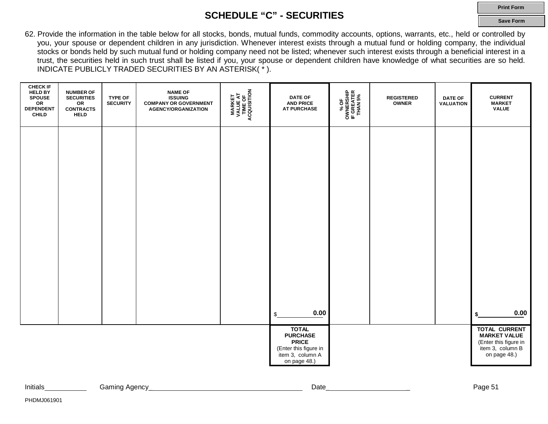### **SCHEDULE "C" - SECURITIES**

**Print Form**

**Save Form**

62. Provide the information in the table below for all stocks, bonds, mutual funds, commodity accounts, options, warrants, etc., held or controlled by you, your spouse or dependent children in any jurisdiction. Whenever interest exists through a mutual fund or holding company, the individual stocks or bonds held by such mutual fund or holding company need not be listed; whenever such interest exists through a beneficial interest in a trust, the securities held in such trust shall be listed if you, your spouse or dependent children have knowledge of what securities are so held. INDICATE PUBLICLY TRADED SECURITIES BY AN ASTERISK( \* ).

| <b>CHECK IF</b><br><b>HELD BY</b><br>SPOUSE<br>OR<br><b>DEPENDENT</b><br>CHILD | <b>NUMBER OF</b><br><b>SECURITIES</b><br>OR<br><b>CONTRACTS<br/>HELD</b> | <b>TYPE OF</b><br><b>SECURITY</b> | <b>NAME OF</b><br><b>ISSUING</b><br><b>COMPANY OR GOVERNMENT</b><br><b>AGENCY/ORGANIZATION</b> | <b>MARKET<br/>VALUE AT<br/>TIME OF<br/>ACQUISITION</b> | <b>DATE OF</b><br><b>AND PRICE</b><br><b>AT PURCHASE</b>                                                     | % OF<br>OWNERSHIP<br>IF GREATER<br>THAN 5% | <b>REGISTERED</b><br><b>OWNER</b> | <b>DATE OF</b><br><b>VALUATION</b> | <b>CURRENT</b><br><b>MARKET</b><br><b>VALUE</b>                                                          |
|--------------------------------------------------------------------------------|--------------------------------------------------------------------------|-----------------------------------|------------------------------------------------------------------------------------------------|--------------------------------------------------------|--------------------------------------------------------------------------------------------------------------|--------------------------------------------|-----------------------------------|------------------------------------|----------------------------------------------------------------------------------------------------------|
|                                                                                |                                                                          |                                   |                                                                                                |                                                        |                                                                                                              |                                            |                                   |                                    |                                                                                                          |
|                                                                                |                                                                          |                                   |                                                                                                |                                                        |                                                                                                              |                                            |                                   |                                    |                                                                                                          |
|                                                                                |                                                                          |                                   |                                                                                                |                                                        |                                                                                                              |                                            |                                   |                                    |                                                                                                          |
|                                                                                |                                                                          |                                   |                                                                                                |                                                        |                                                                                                              |                                            |                                   |                                    |                                                                                                          |
|                                                                                |                                                                          |                                   |                                                                                                |                                                        | 0.00<br>\$                                                                                                   |                                            |                                   |                                    | 0.00<br>\$                                                                                               |
|                                                                                |                                                                          |                                   |                                                                                                |                                                        | <b>TOTAL</b><br><b>PURCHASE</b><br><b>PRICE</b><br>(Enter this figure in<br>item 3, column A<br>on page 48.) |                                            |                                   |                                    | <b>TOTAL CURRENT</b><br><b>MARKET VALUE</b><br>(Enter this figure in<br>item 3, column B<br>on page 48.) |

| Initials | 0.0001<br>aminc<br>$\cdots$<br>AUGHU' | Date | <u> പറസ്</u><br>-aut - |
|----------|---------------------------------------|------|------------------------|
|          |                                       |      |                        |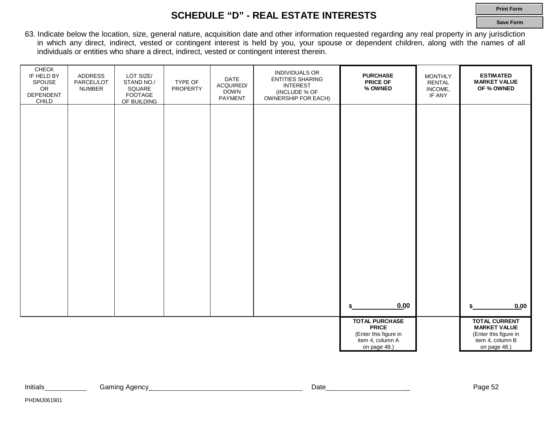### **SCHEDULE "D" - REAL ESTATE INTERESTS**

**Print Form**

**Save Form**

63. Indicate below the location, size, general nature, acquisition date and other information requested regarding any real property in any jurisdiction in which any direct, indirect, vested or contingent interest is held by you, your spouse or dependent children, along with the names of all individuals or entities who share a direct, indirect, vested or contingent interest therein.

| CHECK<br>IF HELD BY<br>SPOUSE<br>OR<br>DEPENDENT<br>CHILD | ADDRESS<br>PARCEL/LOT<br><b>NUMBER</b> | LOT SIZE/<br>STAND NO./<br>SQUARE<br>FOOTAGE<br>OF BUILDING | TYPE OF<br><b>PROPERTY</b> | DATE<br>ACQUIRED/<br><b>DOWN</b><br>PAYMENT | <b>INDIVIDUALS OR</b><br><b>ENTITIES SHARING</b><br><b>INTEREST</b><br>(INCLUDE % OF<br>OWNERSHIP FOR EACH) | <b>PURCHASE</b><br><b>PRICE OF</b><br>% OWNED                                                      | <b>MONTHLY</b><br><b>RENTAL</b><br>INCOME,<br>IF ANY | <b>ESTIMATED</b><br><b>MARKET VALUE</b><br>OF % OWNED                                                    |
|-----------------------------------------------------------|----------------------------------------|-------------------------------------------------------------|----------------------------|---------------------------------------------|-------------------------------------------------------------------------------------------------------------|----------------------------------------------------------------------------------------------------|------------------------------------------------------|----------------------------------------------------------------------------------------------------------|
|                                                           |                                        |                                                             |                            |                                             |                                                                                                             |                                                                                                    |                                                      |                                                                                                          |
|                                                           |                                        |                                                             |                            |                                             |                                                                                                             |                                                                                                    |                                                      |                                                                                                          |
|                                                           |                                        |                                                             |                            |                                             |                                                                                                             |                                                                                                    |                                                      |                                                                                                          |
|                                                           |                                        |                                                             |                            |                                             |                                                                                                             |                                                                                                    |                                                      |                                                                                                          |
|                                                           |                                        |                                                             |                            |                                             |                                                                                                             |                                                                                                    |                                                      |                                                                                                          |
|                                                           |                                        |                                                             |                            |                                             |                                                                                                             | 0.00                                                                                               |                                                      | 0.00                                                                                                     |
|                                                           |                                        |                                                             |                            |                                             |                                                                                                             | <b>TOTAL PURCHASE</b><br><b>PRICE</b><br>(Enter this figure in<br>item 4, column A<br>on page 48.) |                                                      | <b>TOTAL CURRENT</b><br><b>MARKET VALUE</b><br>(Enter this figure in<br>item 4, column B<br>on page 48.) |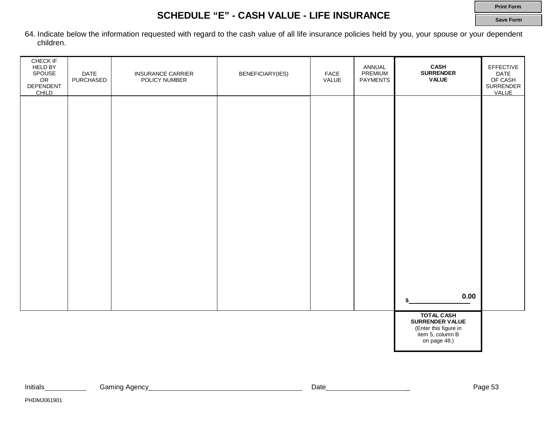### **SCHEDULE "E" - CASH VALUE - LIFE INSURANCE**

**Save Form**

64. Indicate below the information requested with regard to the cash value of all life insurance policies held by you, your spouse or your dependent children.

| CHECK IF<br><b>HELD BY</b><br>SPOUSE<br>OR<br>DEPENDENT<br>CHILD | DATE<br>PURCHASED | <b>INSURANCE CARRIER</b><br>POLICY NUMBER | BENEFICIARY(IES) | FACE<br>VALUE | ANNUAL<br>PREMIUM<br><b>PAYMENTS</b> | CASH<br><b>SURRENDER</b><br><b>VALUE</b>                                                          | EFFECTIVE<br><b>DATE</b><br>OF CASH<br>SURRENDER<br>VALUE |
|------------------------------------------------------------------|-------------------|-------------------------------------------|------------------|---------------|--------------------------------------|---------------------------------------------------------------------------------------------------|-----------------------------------------------------------|
|                                                                  |                   |                                           |                  |               |                                      |                                                                                                   |                                                           |
|                                                                  |                   |                                           |                  |               |                                      |                                                                                                   |                                                           |
|                                                                  |                   |                                           |                  |               |                                      |                                                                                                   |                                                           |
|                                                                  |                   |                                           |                  |               |                                      |                                                                                                   |                                                           |
|                                                                  |                   |                                           |                  |               |                                      |                                                                                                   |                                                           |
|                                                                  |                   |                                           |                  |               |                                      | 0.00                                                                                              |                                                           |
|                                                                  |                   |                                           |                  |               |                                      | <b>TOTAL CASH</b><br>SURRENDER VALUE<br>(Enter this figure in<br>item 5, column B<br>on page 48.) |                                                           |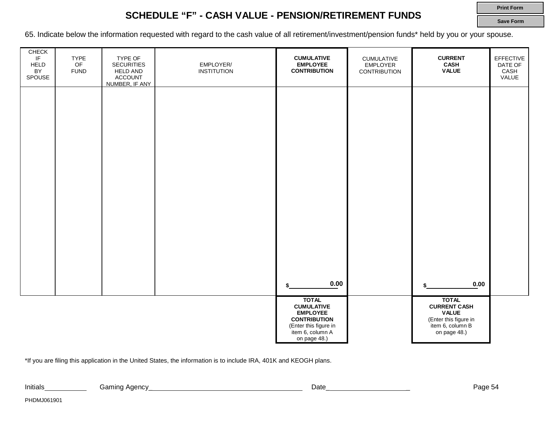### **SCHEDULE "F" - CASH VALUE - PENSION/RETIREMENT FUNDS**

**Print Form Save Form**

65. Indicate below the information requested with regard to the cash value of all retirement/investment/pension funds\* held by you or your spouse.

| ${\sf CHECK}$<br>IF<br><b>HELD</b><br>BY<br>SPOUSE | <b>TYPE</b><br>OF<br><b>FUND</b> | TYPE OF<br><b>SECURITIES</b><br><b>HELD AND</b><br><b>ACCOUNT</b><br>NUMBER, IF ANY | EMPLOYER/<br><b>INSTITUTION</b> | <b>CUMULATIVE</b><br><b>EMPLOYEE</b><br><b>CONTRIBUTION</b>                                                                              | <b>CUMULATIVE</b><br><b>EMPLOYER</b><br><b>CONTRIBUTION</b> | <b>CURRENT</b><br><b>CASH</b><br><b>VALUE</b>                                                                    | EFFECTIVE<br>DATE OF<br>CASH<br>VALUE |
|----------------------------------------------------|----------------------------------|-------------------------------------------------------------------------------------|---------------------------------|------------------------------------------------------------------------------------------------------------------------------------------|-------------------------------------------------------------|------------------------------------------------------------------------------------------------------------------|---------------------------------------|
|                                                    |                                  |                                                                                     |                                 |                                                                                                                                          |                                                             |                                                                                                                  |                                       |
|                                                    |                                  |                                                                                     |                                 |                                                                                                                                          |                                                             |                                                                                                                  |                                       |
|                                                    |                                  |                                                                                     |                                 |                                                                                                                                          |                                                             |                                                                                                                  |                                       |
|                                                    |                                  |                                                                                     |                                 |                                                                                                                                          |                                                             |                                                                                                                  |                                       |
|                                                    |                                  |                                                                                     |                                 | 0.00                                                                                                                                     |                                                             | $0.00\,$                                                                                                         |                                       |
|                                                    |                                  |                                                                                     |                                 | <b>TOTAL</b><br><b>CUMULATIVE</b><br><b>EMPLOYEE</b><br><b>CONTRIBUTION</b><br>(Enter this figure in<br>item 6, column A<br>on page 48.) |                                                             | <b>TOTAL</b><br><b>CURRENT CASH</b><br><b>VALUE</b><br>(Enter this figure in<br>item 6, column B<br>on page 48.) |                                       |

\*If you are filing this application in the United States, the information is to include IRA, 401K and KEOGH plans.

PHDMJ061901

Initials Gaming Agency\_ Date\_ \_ Page 54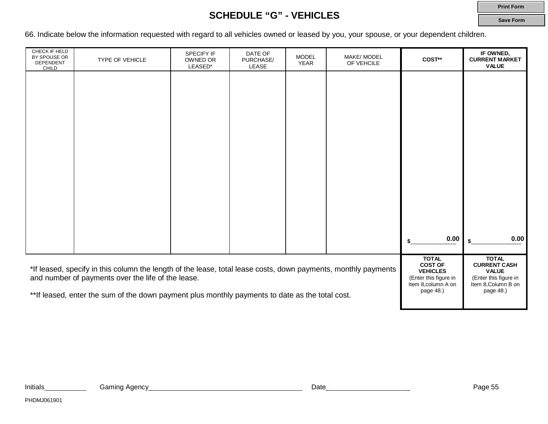### **SCHEDULE "G" - VEHICLES**

**Print Form Save Form**

66. Indicate below the information requested with regard to all vehicles owned or leased by you, your spouse, or your dependent children.

| CHECK IF HELD<br>BY SPOUSE OR<br>DEPENDENT<br>CHILD | <b>TYPE OF VEHICLE</b>                                                                                                                                               | SPECIFY IF<br>OWNED OR<br>LEASED*                                                                 | DATE OF<br>PURCHASE/<br>LEASE                                                                       | <b>MODEL</b><br><b>YEAR</b> | MAKE/ MODEL<br>OF VEHCILE | COST**    | IF OWNED,<br><b>CURRENT MARKET</b><br><b>VALUE</b> |
|-----------------------------------------------------|----------------------------------------------------------------------------------------------------------------------------------------------------------------------|---------------------------------------------------------------------------------------------------|-----------------------------------------------------------------------------------------------------|-----------------------------|---------------------------|-----------|----------------------------------------------------|
|                                                     |                                                                                                                                                                      |                                                                                                   |                                                                                                     |                             |                           |           |                                                    |
|                                                     |                                                                                                                                                                      |                                                                                                   |                                                                                                     |                             |                           |           |                                                    |
|                                                     |                                                                                                                                                                      |                                                                                                   |                                                                                                     |                             |                           |           |                                                    |
|                                                     |                                                                                                                                                                      |                                                                                                   |                                                                                                     |                             |                           |           |                                                    |
|                                                     |                                                                                                                                                                      |                                                                                                   |                                                                                                     |                             |                           |           |                                                    |
|                                                     |                                                                                                                                                                      |                                                                                                   |                                                                                                     |                             |                           |           |                                                    |
|                                                     |                                                                                                                                                                      |                                                                                                   |                                                                                                     |                             |                           |           |                                                    |
|                                                     |                                                                                                                                                                      |                                                                                                   |                                                                                                     |                             |                           | 0.00      | 0.00                                               |
|                                                     | *If leased, specify in this column the length of the lease, total lease costs, down payments, monthly payments<br>and number of payments over the life of the lease. | <b>TOTAL</b><br><b>COST OF</b><br><b>VEHICLES</b><br>(Enter this figure in<br>Item 8, column A on | <b>TOTAL</b><br><b>CURRENT CASH</b><br><b>VALUE</b><br>(Enter this figure in<br>Item 8, Column B on |                             |                           |           |                                                    |
|                                                     | **If leased, enter the sum of the down payment plus monthly payments to date as the total cost.                                                                      |                                                                                                   |                                                                                                     |                             |                           | page 48.) | page 48.)                                          |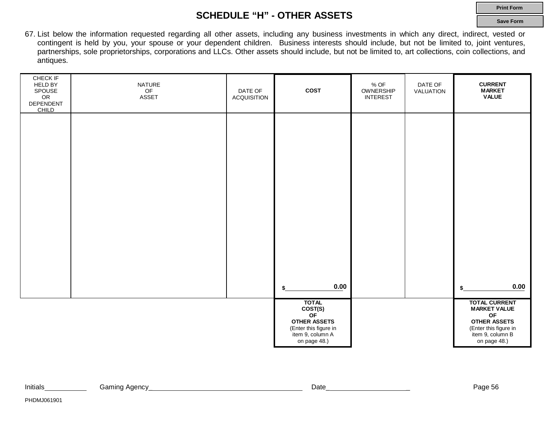### **SCHEDULE "H" - OTHER ASSETS**

67. List below the information requested regarding all other assets, including any business investments in which any direct, indirect, vested or contingent is held by you, your spouse or your dependent children. Business interests should include, but not be limited to, joint ventures, partnerships, sole proprietorships, corporations and LLCs. Other assets should include, but not be limited to, art collections, coin collections, and antiques.

| CHECK IF<br><b>HELD BY</b><br>SPOUSE<br>OR<br>DEPENDENT<br><b>CHILD</b> | NATURE<br>OF<br>ASSET | DATE OF<br><b>ACQUISITION</b> | <b>COST</b>                                                                                                       | $%$ OF<br>OWNERSHIP<br><b>INTEREST</b> | DATE OF<br>VALUATION | <b>CURRENT</b><br><b>MARKET</b><br><b>VALUE</b>                                                                                       |
|-------------------------------------------------------------------------|-----------------------|-------------------------------|-------------------------------------------------------------------------------------------------------------------|----------------------------------------|----------------------|---------------------------------------------------------------------------------------------------------------------------------------|
|                                                                         |                       |                               |                                                                                                                   |                                        |                      |                                                                                                                                       |
|                                                                         |                       |                               |                                                                                                                   |                                        |                      |                                                                                                                                       |
|                                                                         |                       |                               |                                                                                                                   |                                        |                      |                                                                                                                                       |
|                                                                         |                       |                               |                                                                                                                   |                                        |                      |                                                                                                                                       |
|                                                                         |                       |                               | 0.00<br>\$                                                                                                        |                                        |                      | 0.00<br>\$                                                                                                                            |
|                                                                         |                       |                               | <b>TOTAL</b><br>COST(S)<br>OF<br><b>OTHER ASSETS</b><br>(Enter this figure in<br>item 9, column A<br>on page 48.) |                                        |                      | <b>TOTAL CURRENT</b><br><b>MARKET VALUE</b><br>OF<br><b>OTHER ASSETS</b><br>(Enter this figure in<br>item 9, column B<br>on page 48.) |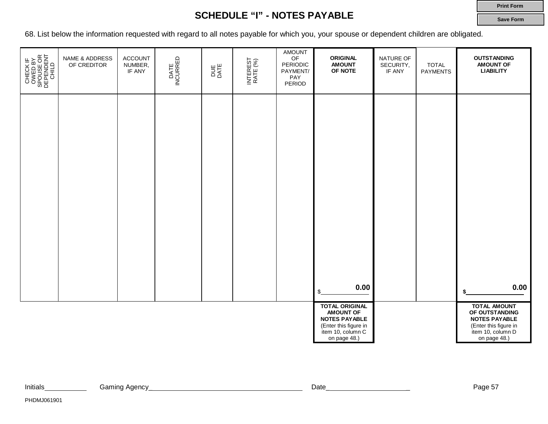### **Print Form**

**Save Form**

### **SCHEDULE "I" - NOTES PAYABLE**

68. List below the information requested with regard to all notes payable for which you, your spouse or dependent children are obligated.

| CHECK IF<br>OWED BY<br>SPOUSE OR<br>SPOUSE OR<br>DEPENDENT | NAME & ADDRESS<br>OF CREDITOR | <b>ACCOUNT</b><br>NUMBER,<br>IF ANY | DATE<br>INCURRED | DUE<br>DATE | INTEREST<br>RATE (%) | AMOUNT<br>OF<br>PERIODIC<br>PAYMENT/<br>PAY<br>PERIOD | ORIGINAL<br><b>AMOUNT</b><br>OF NOTE                                                                                            | NATURE OF<br>SECURITY,<br>IF ANY | <b>TOTAL</b><br><b>PAYMENTS</b> | <b>OUTSTANDING</b><br><b>AMOUNT OF</b><br><b>LIABILITY</b>                                                                  |
|------------------------------------------------------------|-------------------------------|-------------------------------------|------------------|-------------|----------------------|-------------------------------------------------------|---------------------------------------------------------------------------------------------------------------------------------|----------------------------------|---------------------------------|-----------------------------------------------------------------------------------------------------------------------------|
|                                                            |                               |                                     |                  |             |                      |                                                       |                                                                                                                                 |                                  |                                 |                                                                                                                             |
|                                                            |                               |                                     |                  |             |                      |                                                       |                                                                                                                                 |                                  |                                 |                                                                                                                             |
|                                                            |                               |                                     |                  |             |                      |                                                       |                                                                                                                                 |                                  |                                 |                                                                                                                             |
|                                                            |                               |                                     |                  |             |                      |                                                       |                                                                                                                                 |                                  |                                 |                                                                                                                             |
|                                                            |                               |                                     |                  |             |                      |                                                       | 0.00<br>\$                                                                                                                      |                                  |                                 | 0.00                                                                                                                        |
|                                                            |                               |                                     |                  |             |                      |                                                       | <b>TOTAL ORIGINAL</b><br><b>AMOUNT OF</b><br><b>NOTES PAYABLE</b><br>(Enter this figure in<br>item 10, column C<br>on page 48.) |                                  |                                 | <b>TOTAL AMOUNT</b><br>OF OUTSTANDING<br><b>NOTES PAYABLE</b><br>(Enter this figure in<br>item 10, column D<br>on page 48.) |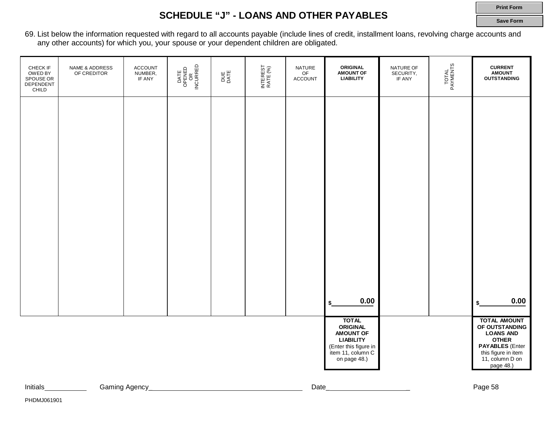#### **Print Form**

### **SCHEDULE "J" - LOANS AND OTHER PAYABLES**

**Save Form**

69. List below the information requested with regard to all accounts payable (include lines of credit, installment loans, revolving charge accounts and any other accounts) for which you, your spouse or your dependent children are obligated.

| CHECK IF<br>OWED BY<br>SPOUSE OR<br>DEPENDENT<br>CHILD | NAME & ADDRESS<br>OF CREDITOR | <b>ACCOUNT</b><br>NUMBER,<br>IF ANY | DATE<br>OPENED<br>NCURRED<br>NCURRED | DUE<br>DATE | INTEREST<br>RATE (%) | NATURE<br>OF<br><b>ACCOUNT</b> | <b>ORIGINAL</b><br>AMOUNT OF                                                                                                          | NATURE OF<br>SECURITY,<br>IF ANY | TOTAL<br>PAYMENTS | <b>CURRENT</b><br><b>AMOUNT</b><br><b>OUTSTANDING</b>                                                                                                      |
|--------------------------------------------------------|-------------------------------|-------------------------------------|--------------------------------------|-------------|----------------------|--------------------------------|---------------------------------------------------------------------------------------------------------------------------------------|----------------------------------|-------------------|------------------------------------------------------------------------------------------------------------------------------------------------------------|
|                                                        |                               |                                     |                                      |             |                      |                                |                                                                                                                                       |                                  |                   |                                                                                                                                                            |
|                                                        |                               |                                     |                                      |             |                      |                                |                                                                                                                                       |                                  |                   |                                                                                                                                                            |
|                                                        |                               |                                     |                                      |             |                      |                                |                                                                                                                                       |                                  |                   |                                                                                                                                                            |
|                                                        |                               |                                     |                                      |             |                      |                                |                                                                                                                                       |                                  |                   |                                                                                                                                                            |
|                                                        |                               |                                     |                                      |             |                      |                                |                                                                                                                                       |                                  |                   |                                                                                                                                                            |
|                                                        |                               |                                     |                                      |             |                      |                                | 0.00<br>\$                                                                                                                            |                                  |                   | 0.00<br>\$                                                                                                                                                 |
|                                                        |                               |                                     |                                      |             |                      |                                | <b>TOTAL</b><br><b>ORIGINAL</b><br><b>AMOUNT OF</b><br><b>LIABILITY</b><br>(Enter this figure in<br>item 11, column C<br>on page 48.) |                                  |                   | <b>TOTAL AMOUNT</b><br>OF OUTSTANDING<br><b>LOANS AND</b><br><b>OTHER</b><br><b>PAYABLES</b> (Enter<br>this figure in item<br>11, column D on<br>page 48.) |

Initials **Caming Agency** 2008 2009 2014 2015 2016 2017 2018 2019 2014 2020 2014 2020 2020 2031 2032 2020 2020 20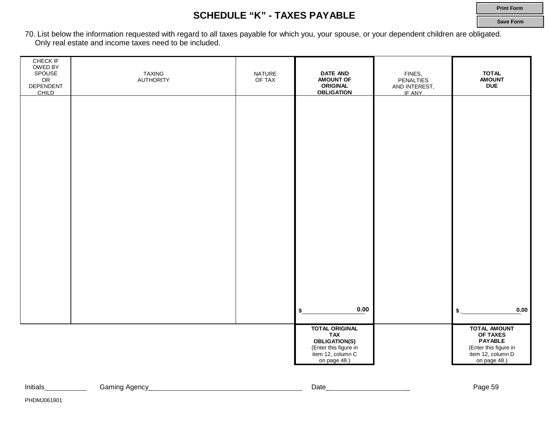### **SCHEDULE "K" - TAXES PAYABLE**

**Print Form**

**Save Form**

70. List below the information requested with regard to all taxes payable for which you, your spouse, or your dependent children are obligated. Only real estate and income taxes need to be included.

| CHECK IF<br>OWED BY<br>SPOUSE<br>OR<br>DEPENDENT<br>CHILD | <b>TAXING</b><br><b>AUTHORITY</b> | <b>NATURE</b><br>OF TAX | <b>DATE AND</b><br><b>AMOUNT OF</b><br><b>ORIGINAL</b><br><b>OBLIGATION</b>        | FINES,<br><b>PENALTIES</b><br>AND INTEREST,<br>IF ANY | <b>TOTAL</b><br><b>AMOUNT</b><br><b>DUE</b>                                              |
|-----------------------------------------------------------|-----------------------------------|-------------------------|------------------------------------------------------------------------------------|-------------------------------------------------------|------------------------------------------------------------------------------------------|
|                                                           |                                   |                         |                                                                                    |                                                       |                                                                                          |
|                                                           |                                   |                         |                                                                                    |                                                       |                                                                                          |
|                                                           |                                   |                         |                                                                                    |                                                       |                                                                                          |
|                                                           |                                   |                         |                                                                                    |                                                       |                                                                                          |
|                                                           |                                   |                         |                                                                                    |                                                       |                                                                                          |
|                                                           |                                   |                         |                                                                                    |                                                       |                                                                                          |
|                                                           |                                   |                         | 0.00<br>\$<br><b>TOTAL ORIGINAL</b>                                                |                                                       | 0.00<br>\$<br><b>TOTAL AMOUNT</b>                                                        |
|                                                           |                                   |                         | TAX<br>OBLIGATION(S)<br>(Enter this figure in<br>item 12, column C<br>on page 48.) |                                                       | OF TAXES<br><b>PAYABLE</b><br>(Enter this figure in<br>item 12, column D<br>on page 48.) |

| Initials | Anency<br>Gaming<br>טווסאר | Date | Page<br>n.<br>ں س |
|----------|----------------------------|------|-------------------|
|          | . .                        |      |                   |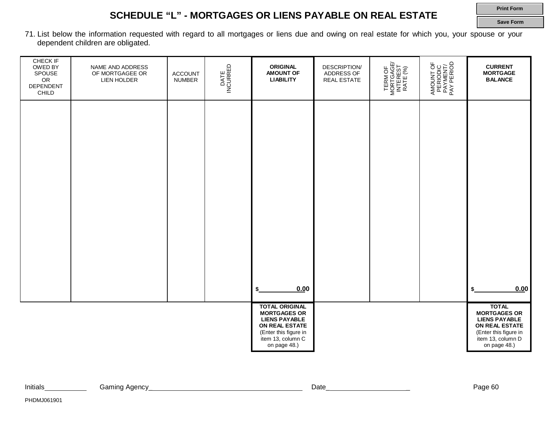### **SCHEDULE "L" - MORTGAGES OR LIENS PAYABLE ON REAL ESTATE**

**Print Form Save Form**

71. List below the information requested with regard to all mortgages or liens due and owing on real estate for which you, your spouse or your dependent children are obligated.

| CHECK IF<br>OWED BY<br>SPOUSE<br>OR<br>DEPENDENT<br>CHILD | NAME AND ADDRESS<br>OF MORTGAGEE OR<br>LIEN HOLDER | ACCOUNT<br><b>NUMBER</b> | DATE<br>INCURRED | <b>ORIGINAL</b><br><b>AMOUNT OF</b><br><b>LIABILITY</b>                                                                     | <b>DESCRIPTION/</b><br>ADDRESS OF<br><b>REAL ESTATE</b> | TERM OF<br>MORTGAGE/<br>INTEREST<br>RATE (%) | AMOUNT OF<br>PERIODIC<br>PAYMENT/<br>PAY PERIOD | <b>CURRENT</b><br><b>MORTGAGE</b><br><b>BALANCE</b>                                                                         |
|-----------------------------------------------------------|----------------------------------------------------|--------------------------|------------------|-----------------------------------------------------------------------------------------------------------------------------|---------------------------------------------------------|----------------------------------------------|-------------------------------------------------|-----------------------------------------------------------------------------------------------------------------------------|
|                                                           |                                                    |                          |                  |                                                                                                                             |                                                         |                                              |                                                 |                                                                                                                             |
|                                                           |                                                    |                          |                  |                                                                                                                             |                                                         |                                              |                                                 |                                                                                                                             |
|                                                           |                                                    |                          |                  |                                                                                                                             |                                                         |                                              |                                                 |                                                                                                                             |
|                                                           |                                                    |                          |                  |                                                                                                                             |                                                         |                                              |                                                 |                                                                                                                             |
|                                                           |                                                    |                          |                  | 0.00<br>S<br><b>TOTAL ORIGINAL</b>                                                                                          |                                                         |                                              |                                                 | 0.00<br>\$<br><b>TOTAL</b>                                                                                                  |
|                                                           |                                                    |                          |                  | <b>MORTGAGES OR</b><br><b>LIENS PAYABLE</b><br>ON REAL ESTATE<br>(Enter this figure in<br>item 13, column C<br>on page 48.) |                                                         |                                              |                                                 | <b>MORTGAGES OR</b><br><b>LIENS PAYABLE</b><br>ON REAL ESTATE<br>(Enter this figure in<br>item 13, column D<br>on page 48.) |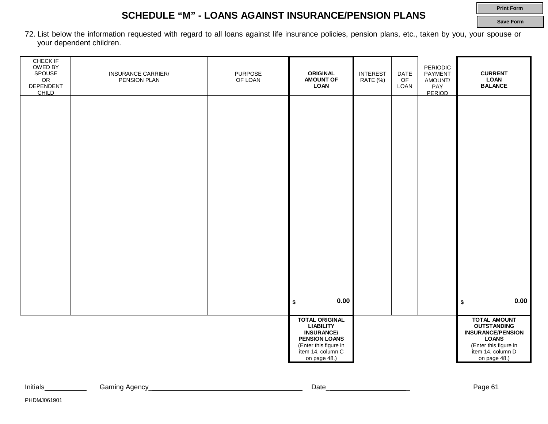### **SCHEDULE "M" - LOANS AGAINST INSURANCE/PENSION PLANS**

**Print Form Save Form**

72. List below the information requested with regard to all loans against life insurance policies, pension plans, etc., taken by you, your spouse or your dependent children.

| <b>CHECK IF</b><br>OWED BY<br>SPOUSE<br>OR<br>DEPENDENT<br>CHILD | <b>INSURANCE CARRIER/</b><br>PENSION PLAN | <b>PURPOSE</b><br>OF LOAN | <b>ORIGINAL</b><br><b>AMOUNT OF</b><br><b>LOAN</b>                                                                                                   | <b>INTEREST</b><br>RATE (%) | DATE<br>$\mathsf{OF}% \left( \mathcal{M}\right)$<br>LOAN | <b>PERIODIC</b><br>PAYMENT<br>AMOUNT/<br>PAY<br>PERIOD | <b>CURRENT</b><br><b>LOAN</b><br><b>BALANCE</b>                                                                                                     |
|------------------------------------------------------------------|-------------------------------------------|---------------------------|------------------------------------------------------------------------------------------------------------------------------------------------------|-----------------------------|----------------------------------------------------------|--------------------------------------------------------|-----------------------------------------------------------------------------------------------------------------------------------------------------|
|                                                                  |                                           |                           |                                                                                                                                                      |                             |                                                          |                                                        |                                                                                                                                                     |
|                                                                  |                                           |                           |                                                                                                                                                      |                             |                                                          |                                                        |                                                                                                                                                     |
|                                                                  |                                           |                           |                                                                                                                                                      |                             |                                                          |                                                        |                                                                                                                                                     |
|                                                                  |                                           |                           |                                                                                                                                                      |                             |                                                          |                                                        |                                                                                                                                                     |
|                                                                  |                                           |                           |                                                                                                                                                      |                             |                                                          |                                                        |                                                                                                                                                     |
|                                                                  |                                           |                           |                                                                                                                                                      |                             |                                                          |                                                        |                                                                                                                                                     |
|                                                                  |                                           |                           |                                                                                                                                                      |                             |                                                          |                                                        |                                                                                                                                                     |
|                                                                  |                                           |                           | 0.00<br>\$                                                                                                                                           |                             |                                                          |                                                        | 0.00<br>\$                                                                                                                                          |
|                                                                  |                                           |                           | <b>TOTAL ORIGINAL</b><br><b>LIABILITY</b><br><b>INSURANCE/</b><br><b>PENSION LOANS</b><br>(Enter this figure in<br>item 14, column C<br>on page 48.) |                             |                                                          |                                                        | <b>TOTAL AMOUNT</b><br><b>OUTSTANDING</b><br><b>INSURANCE/PENSION</b><br><b>LOANS</b><br>(Enter this figure in<br>item 14, column D<br>on page 48.) |

| Initials | Agency<br>َ amınd | Date | $. In \, \sim$<br>-due .<br>ັບ |
|----------|-------------------|------|--------------------------------|
|          |                   |      |                                |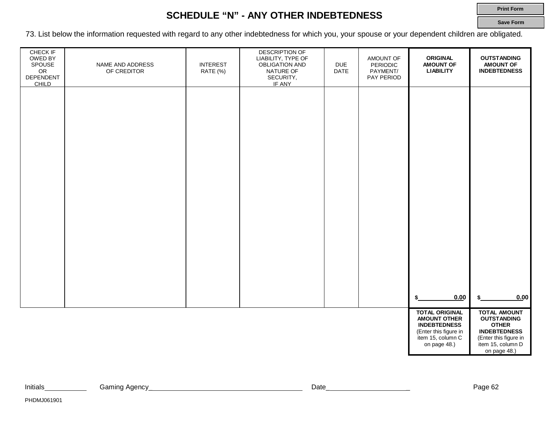### **SCHEDULE "N" - ANY OTHER INDEBTEDNESS**

**Print Form**

**Save Form**

73. List below the information requested with regard to any other indebtedness for which you, your spouse or your dependent children are obligated.

| CHECK IF<br>OWED BY<br>SPOUSE<br>OR<br>DEPENDENT<br><b>CHILD</b> | NAME AND ADDRESS<br>OF CREDITOR | <b>INTEREST</b><br>RATE (%) | DESCRIPTION OF<br>LIABILITY, TYPE OF<br>OBLIGATION AND<br>NATURE OF<br>SECURITY,<br>IF ANY | <b>DUE</b><br><b>DATE</b> | AMOUNT OF<br>PERIODIC<br>PAYMENT/<br>PAY PERIOD | <b>ORIGINAL</b><br><b>AMOUNT OF</b><br><b>LIABILITY</b>                                                                           | <b>OUTSTANDING</b><br><b>AMOUNT OF</b><br><b>INDEBTEDNESS</b>                                                                                  |
|------------------------------------------------------------------|---------------------------------|-----------------------------|--------------------------------------------------------------------------------------------|---------------------------|-------------------------------------------------|-----------------------------------------------------------------------------------------------------------------------------------|------------------------------------------------------------------------------------------------------------------------------------------------|
|                                                                  |                                 |                             |                                                                                            |                           |                                                 |                                                                                                                                   |                                                                                                                                                |
|                                                                  |                                 |                             |                                                                                            |                           |                                                 |                                                                                                                                   |                                                                                                                                                |
|                                                                  |                                 |                             |                                                                                            |                           |                                                 |                                                                                                                                   |                                                                                                                                                |
|                                                                  |                                 |                             |                                                                                            |                           |                                                 |                                                                                                                                   |                                                                                                                                                |
|                                                                  |                                 |                             |                                                                                            |                           |                                                 |                                                                                                                                   |                                                                                                                                                |
|                                                                  |                                 |                             |                                                                                            |                           |                                                 | 0.00<br>\$                                                                                                                        | 0.00                                                                                                                                           |
|                                                                  |                                 |                             |                                                                                            |                           |                                                 | <b>TOTAL ORIGINAL</b><br><b>AMOUNT OTHER</b><br><b>INDEBTEDNESS</b><br>(Enter this figure in<br>item 15, column C<br>on page 48.) | <b>TOTAL AMOUNT</b><br><b>OUTSTANDING</b><br><b>OTHER</b><br><b>INDEBTEDNESS</b><br>(Enter this figure in<br>item 15, column D<br>on page 48.) |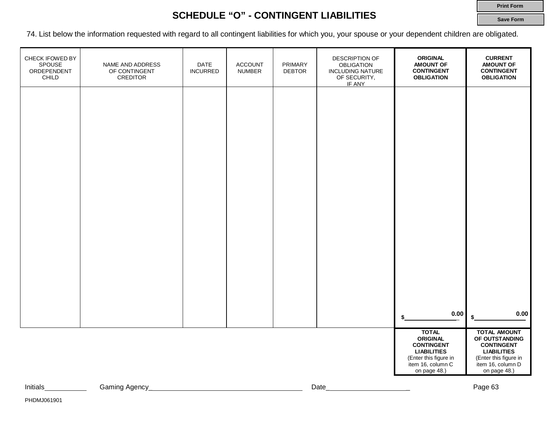### **SCHEDULE "O" - CONTINGENT LIABILITIES**

74. List below the information requested with regard to all contingent liabilities for which you, your spouse or your dependent children are obligated.

| CHECK IFOWED BY<br>SPOUSE<br>ORDEPENDENT<br>CHILD | NAME AND ADDRESS<br>OF CONTINGENT<br><b>CREDITOR</b> | DATE<br><b>INCURRED</b> | <b>ACCOUNT</b><br><b>NUMBER</b> | PRIMARY<br><b>DEBTOR</b> | DESCRIPTION OF<br><b>OBLIGATION</b><br><b>INCLUDING NATURE</b><br>OF SECURITY,<br>IF ANY | <b>ORIGINAL</b><br><b>AMOUNT OF</b><br><b>CONTINGENT</b><br><b>OBLIGATION</b>                                                            | <b>CURRENT</b><br><b>AMOUNT OF</b><br><b>CONTINGENT</b><br><b>OBLIGATION</b>                                                                   |
|---------------------------------------------------|------------------------------------------------------|-------------------------|---------------------------------|--------------------------|------------------------------------------------------------------------------------------|------------------------------------------------------------------------------------------------------------------------------------------|------------------------------------------------------------------------------------------------------------------------------------------------|
|                                                   |                                                      |                         |                                 |                          |                                                                                          |                                                                                                                                          |                                                                                                                                                |
|                                                   |                                                      |                         |                                 |                          |                                                                                          |                                                                                                                                          |                                                                                                                                                |
|                                                   |                                                      |                         |                                 |                          |                                                                                          |                                                                                                                                          |                                                                                                                                                |
|                                                   |                                                      |                         |                                 |                          |                                                                                          |                                                                                                                                          |                                                                                                                                                |
|                                                   |                                                      |                         |                                 |                          |                                                                                          |                                                                                                                                          |                                                                                                                                                |
|                                                   |                                                      |                         |                                 |                          |                                                                                          | $0.00\,$                                                                                                                                 | 0.00<br>\$                                                                                                                                     |
|                                                   |                                                      |                         |                                 |                          |                                                                                          | <b>TOTAL</b><br><b>ORIGINAL</b><br><b>CONTINGENT</b><br><b>LIABILITIES</b><br>(Enter this figure in<br>item 16, column C<br>on page 48.) | <b>TOTAL AMOUNT</b><br>OF OUTSTANDING<br><b>CONTINGENT</b><br><b>LIABILITIES</b><br>(Enter this figure in<br>item 16, column D<br>on page 48.) |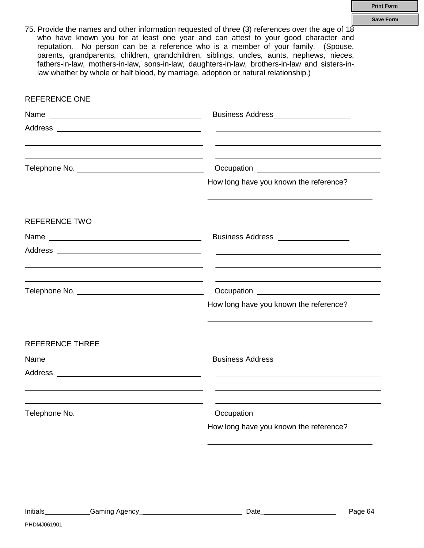75. Provide the names and other information requested of three (3) references over the age of 18 who have known you for at least one year and can attest to your good character and reputation. No person can be a reference who is a member of your family. (Spouse, parents, grandparents, children, grandchildren, siblings, uncles, aunts, nephews, nieces, fathers-in-law, mothers-in-law, sons-in-law, daughters-in-law, brothers-in-law and sisters-inlaw whether by whole or half blood, by marriage, adoption or natural relationship.)

| <b>REFERENCE ONE</b>   |                                                                                                                                                                                                                                      |
|------------------------|--------------------------------------------------------------------------------------------------------------------------------------------------------------------------------------------------------------------------------------|
|                        | Business Address <b>Management Contract Contract Contract Contract Contract Contract Contract Contract Contract Contract Contract Contract Contract Contract Contract Contract Contract Contract Contract Contract Contract Cont</b> |
|                        |                                                                                                                                                                                                                                      |
|                        |                                                                                                                                                                                                                                      |
|                        | How long have you known the reference?                                                                                                                                                                                               |
| <b>REFERENCE TWO</b>   |                                                                                                                                                                                                                                      |
|                        | Business Address __________________                                                                                                                                                                                                  |
|                        | <u> 1989 - Andrea Stadt Britain, amerikansk politiker (</u>                                                                                                                                                                          |
|                        | Occupation <u>example and the set of the set of the set of the set of the set of the set of the set of the set of the set of the set of the set of the set of the set of the set of the set of the set of the set of the set of </u> |
|                        | How long have you known the reference?                                                                                                                                                                                               |
| <b>REFERENCE THREE</b> |                                                                                                                                                                                                                                      |
|                        | Business Address __________________                                                                                                                                                                                                  |
|                        |                                                                                                                                                                                                                                      |
|                        |                                                                                                                                                                                                                                      |
|                        | How long have you known the reference?                                                                                                                                                                                               |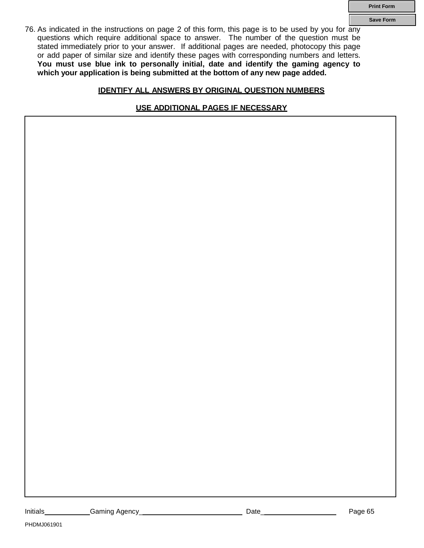**Save Form**

76. As indicated in the instructions on page 2 of this form, this page is to be used by you for any questions which require additional space to answer. The number of the question must be stated immediately prior to your answer. If additional pages are needed, photocopy this page or add paper of similar size and identify these pages with corresponding numbers and letters. **You must use blue ink to personally initial, date and identify the gaming agency to which your application is being submitted at the bottom of any new page added.**

### **IDENTIFY ALL ANSWERS BY ORIGINAL QUESTION NUMBERS**

**USE ADDITIONAL PAGES IF NECESSARY**